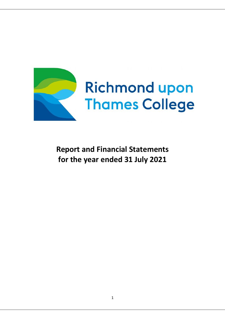

**Report and Financial Statements for the year ended 31 July 2021**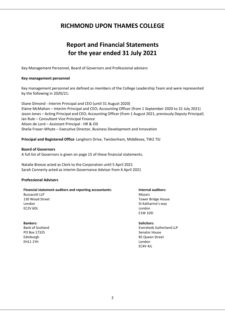# **RICHMOND UPON THAMES COLLEGE**

# **Report and Financial Statements for the year ended 31 July 2021**

Key Management Personnel, Board of Governors and Professional advisers

#### **Key management personnel**

Key management personnel are defined as members of the College Leadership Team and were represented by the following in 2020/21:

Diane Dimond ‐ Interim Principal and CEO (until 31 August 2020) Elaine McMahon – Interim Principal and CEO; Accounting Officer (from 1 September 2020 to 31 July 2021) Jason Jones – Acting Principal and CEO; Accounting Officer (from 1 August 2021, previously Deputy Principal) Ian Rule – Consultant Vice Principal Finance Alison de Lord – Assistant Principal ‐ HR & OD Sheila Fraser‐Whyte – Executive Director, Business Development and Innovation

**Principal and Registered Office** Langhorn Drive, Twickenham, Middlesex, TW2 7SJ

#### **Board of Governors**

A full list of Governors is given on page 15 of these financial statements.

Natalie Breeze acted as Clerk to the Corporation until 5 April 2021 Sarah Connerty acted as interim Governance Advisor from 6 April 2021

#### **Professional Advisers**

#### **Financial statement auditors and reporting accountants: Internal auditors:**

Buzzacott LLP Mazars and the Mazars and the Mazars and the Mazars and the Mazars and the Mazars and the Mazars EC2V 6DL London

## **Bankers: Solicitors:**

PO Box 17325 Senator House Senator House Senator House Senator House Senator House Edinburgh 85 Queen Street EH11 1YH London

130 Wood Street **Tower Bridge House** London **St Katharine's way** E1W 1DD

# Bank of Scotland Eversheds Sutherland LLP

EC4V 4JL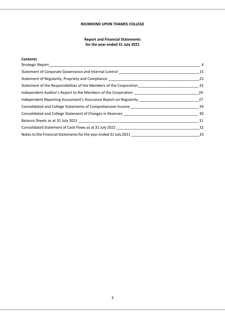## **RICHMOND UPON THAMES COLLEGE**

## **Report and Financial Statements for the year ended 31 July 2021**

## **Contents**

| Strategic Report _____________________                                                  | 4  |
|-----------------------------------------------------------------------------------------|----|
| Statement of Corporate Governance and Internal Control                                  | 15 |
| Statement of Regularity, Propriety and Compliance Learness Compliance                   | 22 |
| Statement of the Responsibilities of the Members of the Corporation                     | 23 |
| Independent Auditor's Report to the Members of the Corporation                          | 24 |
| Independent Reporting Accountant's Assurance Report on Regularity Learness Manuscriptum | 27 |
| Consolidated and College Statements of Comprehensive Income                             | 29 |
| Consolidated and College Statement of Changes in Reserves                               | 30 |
|                                                                                         | 31 |
|                                                                                         | 32 |
| Notes to the Financial Statements for the year ended 31 July 2021                       | 33 |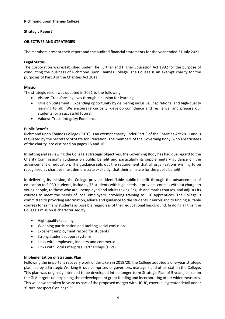## **Richmond upon Thames College**

## **Strategic Report**

## **OBJECTIVES AND STRATEGIES**

The members present their report and the audited financial statements for the year ended 31 July 2021.

## **Legal Status**

The Corporation was established under The Further and Higher Education Act 1992 for the purpose of conducting the business of Richmond upon Thames College. The College is an exempt charity for the purposes of Part 3 of the Charities Act 2011.

## **Mission**

The strategic vision was updated in 2021 to the following:

- Vision: Transforming lives through a passion for learning
- Mission Statement: Expanding opportunity by delivering inclusive, inspirational and high-quality learning to all. We encourage curiosity, develop confidence and resilience, and prepare our students for a successful future.
- Values: Trust; Integrity; Excellence

## **Public Benefit**

Richmond upon Thames College (RuTC) is an exempt charity under Part 3 of the Charities Act 2011 and is regulated by the Secretary of State for Education. The members of the Governing Body, who are trustees of the charity, are disclosed on pages 15 and 16.

In setting and reviewing the College's strategic objectives, the Governing Body has had due regard to the Charity Commission's guidance on public benefit and particularly its supplementary guidance on the advancement of education. The guidance sets out the requirement that all organisations wishing to be recognised as charities must demonstrate explicitly, that their aims are for the public benefit.

In delivering its mission, the College provides identifiable public benefit through the advancement of education to 2,030 students, including 76 students with high needs. It provides courses without charge to young people, to those who are unemployed and adults taking English and maths courses, and adjusts its courses to meet the needs of local employers, providing training to 116 apprentices. The College is committed to providing information, advice and guidance to the students it enrols and to finding suitable courses for as many students as possible regardless of their educational background. In doing all this, the College's mission is characterised by:

- High‐quality teaching
- Widening participation and tackling social exclusion
- Excellent employment record for students
- Strong student support systems
- Links with employers, industry and commerce.
- Links with Local Enterprise Partnerships (LEPs)

## **Implementation of Strategic Plan**

Following the important recovery work undertaken in 2019/20, the College adopted a one‐year strategic plan, led by a Strategic Working Group comprised of governors, managers and other staff in the College. This plan was originally intended to be developed into a longer‐term Strategic Plan of 5 years, based on the GLA targets underpinning the redevelopment grant funding and incorporating other wider measures. This will now be taken forward as part of the proposed merger with HCUC, covered in greater detail under 'future prospects' on page 9.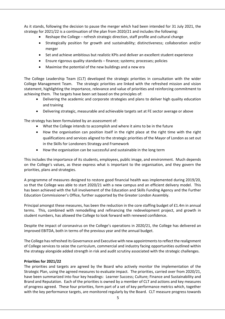As it stands, following the decision to pause the merger which had been intended for 31 July 2021, the strategy for 2021/22 is a continuation of the plan from 2020/21 and includes the following:

- Reshape the College refresh strategic direction, staff profile and cultural change
- Strategically position for growth and sustainability; distinctiveness; collaboration and/or merger
- Set and achieve ambitious but realistic KPIs and deliver an excellent student experience
- Ensure rigorous quality standards finance; systems; processes; policies
- Maximise the potential of the new buildings and a new era

The College Leadership Team (CLT) developed the strategic priorities in consultation with the wider College Management Team. The strategic priorities are linked with the refreshed mission and vision statement, highlighting the importance, relevance and value of priorities and reinforcing commitment to achieving them. The targets have been set based on the principles of:

- Delivering the academic and corporate strategies and plans to deliver high quality education and training
- Delivering strategic, measurable and achievable targets set at FE sector average or above

The strategy has been formulated by an assessment of:

- What the College intends to accomplish and where it aims to be in the future
- How the organisation can position itself in the right place at the right time with the right qualifications and services aligned to the strategic priorities of the Mayor of London as set out in the Skills for Londoners Strategy and Framework
- How the organisation can be successful and sustainable in the long term

This includes the importance of its students, employees, public image, and environment. Much depends on the College's values, as these express what is important to the organisation, and they govern the priorities, plans and strategies.

A programme of measures designed to restore good financial health was implemented during 2019/20, so that the College was able to start 2020/21 with a new campus and an efficient delivery model. This has been achieved with the full involvement of the Education and Skills Funding Agency and the Further Education Commissioner's Office, further supported by the Greater London Assembly.

Principal amongst these measures, has been the reduction in the core staffing budget of £1.4m in annual terms. This, combined with remodelling and refinancing the redevelopment project, and growth in student numbers, has allowed the College to look forward with renewed confidence.

Despite the impact of coronavirus on the College's operations in 2020/21, the College has delivered an improved EBITDA, both in terms of the previous year and the annual budget.

The College has refreshed its Governance and Executive with new appointments to reflect the realignment of College services to seize the curriculum, commercial and industry facing opportunities outlined within the strategy alongside added strength in risk and audit scrutiny associated with the strategic challenges.

## **Priorities for 2021/22**

The priorities and targets are agreed by the Board who actively monitor the implementation of the Strategic Plan, using the agreed measures to evaluate impact. The priorities, carried over from 2020/21, have been summarized into four key headings: Learner Success; Culture; Finance and Sustainability and Brand and Reputation. Each of the priorities is owned by a member of CLT and actions and key measures of progress agreed. These four priorities, form part of a set of key performance metrics which, together with the key performance targets, are monitored regularly by the Board. CLT measure progress towards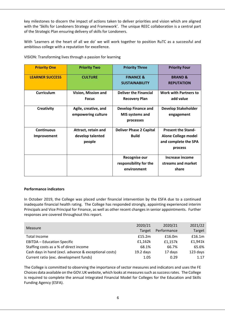key milestones to discern the impact of actions taken to deliver priorities and vision which are aligned with the 'Skills for Londoners Strategy and Framework'. The unique REEC collaboration is a central part of the Strategic Plan ensuring delivery of skills for Londoners.

With 'Learners at the heart of all we do' we will work together to position RuTC as a successful and ambitious college with a reputation for excellence.

| <b>Priority One</b>    | <b>Priority Two</b>  | <b>Priority Three</b>          | <b>Priority Four</b>         |
|------------------------|----------------------|--------------------------------|------------------------------|
|                        |                      |                                |                              |
| <b>LEARNER SUCCESS</b> | <b>CULTURE</b>       | <b>FINANCE &amp;</b>           | <b>BRAND &amp;</b>           |
|                        |                      | <b>SUSTAINABILITY</b>          | <b>REPUTATION</b>            |
|                        |                      |                                |                              |
| <b>Curriculum</b>      | Vision, Mission and  | <b>Deliver the Financial</b>   | <b>Work with Partners to</b> |
|                        | <b>Focus</b>         | <b>Recovery Plan</b>           | add value                    |
|                        |                      |                                |                              |
| Creativity             | Agile, creative, and | <b>Develop Finance and</b>     | <b>Develop Stakeholder</b>   |
|                        | empowering culture   | MIS systems and                | engagement                   |
|                        |                      | processes                      |                              |
|                        |                      |                                |                              |
| <b>Continuous</b>      | Attract, retain and  | <b>Deliver Phase 2 Capital</b> | <b>Present the Stand-</b>    |
| Improvement            | develop talented     | <b>Build</b>                   | <b>Alone College model</b>   |
|                        | people               |                                | and complete the SPA         |
|                        |                      |                                | process                      |
|                        |                      |                                |                              |
|                        |                      | <b>Recognise our</b>           | Increase income              |
|                        |                      | responsibility for the         | streams and market           |
|                        |                      | environment                    | share                        |
|                        |                      |                                |                              |

VISION: Transforming lives through a passion for learning

## **Performance indicators**

In October 2019, the College was placed under financial intervention by the ESFA due to a continued inadequate financial health rating. The College has responded strongly, appointing experienced interim Principals and Vice Principal for Finance, as well as other recent changes in senior appointments. Further responses are covered throughout this report.

|                                                       | 2020/21     | 2020/21     | 2021/22  |
|-------------------------------------------------------|-------------|-------------|----------|
| <b>Measure</b>                                        | Target      | Performance | Target   |
| Total Income                                          | £15.2m      | £16.0m      | £16.1m   |
| <b>EBITDA - Education Specific</b>                    | £1,162k     | £1,157k     | £1,941k  |
| Staffing costs as a % of direct income                | 68.1%       | 66.7%       | 65.6%    |
| Cash days in hand (excl. advance & exceptional costs) | $19.2$ days | 17 days     | 123 days |
| Current ratio (exc. development funds)                | 1.05        | 0.29        | 1.17     |

The College is committed to observing the importance of sector measures and indicators and uses the FE Choices data available on the GOV.UK website, which looks at measures such as success rates. The College is required to complete the annual Integrated Financial Model for Colleges for the Education and Skills Funding Agency (ESFA).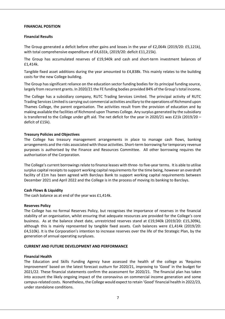#### **FINANCIAL POSITION**

#### **Financial Results**

The Group generated a deficit before other gains and losses in the year of £2,064k (2019/20: £5,121k), with total comprehensive expenditure of £4,631k, (2019/20: deficit £11,215k).

The Group has accumulated reserves of £19,940k and cash and short-term investment balances of £1,414k.

Tangible fixed asset additions during the year amounted to £4,838k. This mainly relates to the building costs for the new College building.

The Group has significant reliance on the education sector funding bodies for its principal funding source, largely from recurrent grants. In 2020/21 the FE funding bodies provided 84% of the Group's total income.

The College has a subsidiary company, RUTC Trading Services Limited. The principal activity of RUTC Trading Services Limited is carrying out commercial activities ancillary to the operations of Richmond upon Thames College, the parent organisation. The activities result from the provision of education and by making available the facilities of Richmond upon Thames College. Any surplus generated by the subsidiary is transferred to the College under gift aid. The net deficit for the year in 2020/21 was £21k (2019/20 – deficit of £15k).

#### **Treasury Policies and Objectives**

The College has treasury management arrangements in place to manage cash flows, banking arrangements and the risks associated with those activities. Short-term borrowing for temporary revenue purposes is authorised by the Finance and Resources Committee. All other borrowing requires the authorisation of the Corporation.

The College's current borrowings relate to finance leases with three‐ to five‐year terms. It is able to utilise surplus capital receipts to support working capital requirements for the time being, however an overdraft facility of £1m has been agreed with Barclays Bank to support working capital requirements between December 2021 and April 2022 and the College is in the process of moving its banking to Barclays.

#### **Cash Flows & Liquidity**

The cash balance as at end of the year was £1,414k.

#### **Reserves Policy**

The College has no formal Reserves Policy, but recognises the importance of reserves in the financial stability of an organisation, whilst ensuring that adequate resources are provided for the College's core business. As at the balance sheet date, unrestricted reserves stand at £19,940k (2019/20: £15,309k), although this is mainly represented by tangible fixed assets. Cash balances were £1,414k (2019/20: £4,510k). It is the Corporation's intention to increase reserves over the life of the Strategic Plan, by the generation of annual operating surpluses.

#### **CURRENT AND FUTURE DEVELOPMENT AND PERFORMANCE**

#### **Financial Health**

The Education and Skills Funding Agency have assessed the health of the college as 'Requires Improvement' based on the latest forecast outturn for 2020/21, improving to 'Good' in the budget for 2021/22. These financial statements confirm the assessment for 2020/21. The financial plan has taken into account the likely ongoing impact of the coronavirus on commercial income generation and some campus‐related costs. Nonetheless, the College would expect to retain 'Good' financial health in 2022/23, under standalone conditions.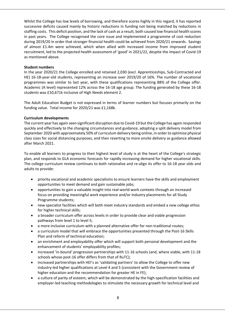Whilst the College has low levels of borrowing, and therefore scores highly in this regard, it has reported successive deficits caused mainly by historic reductions in funding not being matched by reductions in staffing costs. This deficit position, and the lack of cash as a result, both caused low financial health scores in past years. The College recognised the core issue and implemented a programme of cost reduction during 2019/20 in order that stronger financial health could be achieved from 2020/21 onwards. Savings of almost £1.4m were achieved, which when allied with increased income from improved student recruitment, led to the projected health assessment of 'good' in 2021/22, despite the impact of Covid‐19 as mentioned above.

## **Student numbers**

In the year 2020/21 the College enrolled and retained 2,030 (excl. Apprenticeships, Sub‐Contracted and HE) 16‐18‐year‐old students, representing an increase over 2019/20 of 16%. The number of vocational programmes was similar to last year, with these qualifications representing 88% of the College offer. Academic (A level) represented 12% across the 16‐18 age group. The funding generated by these 16‐18 students was £10,671k inclusive of High Needs element 2.

The Adult Education Budget is not expressed in terms of learner numbers but focuses primarily on the funding value. Total income for 2020/21 was £1,168k.

## **Curriculum developments**

The current year has again seen significant disruption due to Covid‐19 but the College has again responded quickly and effectively to the changing circumstances and guidance, adopting a split delivery model from September 2020 with approximately 50% of curriculum delivery being online, in order to optimise physical class sizes for social distancing purposes, and then reverting to more onsite delivery as guidance allowed after March 2021.

To enable all learners to progress to their highest level of study is at the heart of the College's strategic plan, and responds to GLA economic forecasts for rapidly increasing demand for higher vocational skills. The college curriculum review continues to both rationalise and re‐align its offer to 16‐18 year olds and adults to provide:

- priority vocational and academic specialisms to ensure learners have the skills and employment opportunities to meet demand and gain sustainable jobs;
- opportunities to gain a valuable insight into real‐world work contexts through an increased focus on providing meaningful work experience and/or industry placements for all Study Programme students;
- new specialist facilities which will both meet industry standards and embed a new college ethos for higher technical skills;
- a broader curriculum offer across levels in order to provide clear and viable progression pathways from level 1 to level 5;
- a more inclusive curriculum with a planned alternative offer for non-traditional routes;
- a curriculum model that will embrace the opportunities presented through the Post‐16 Skills Plan and reform of technical education;
- an enrichment and employability offer which will support both personal development and the enhancement of students' employability profiles;
- increased 'in‐bound' progression partnerships with 11‐16 schools (and, where viable, with 11‐18 schools whose post‐16 offer differs from that of RuTC);
- increased partnerships with HEI's as 'validating partners' to allow the College to offer new industry‐led higher qualifications at Level 4 and 5 (consistent with the Government review of higher education and the recommendation for greater HE in FE);
- a culture of parity of esteem, which will be demonstrated by the high‐specification facilities and employer-led teaching methodologies to stimulate the necessary growth for technical level and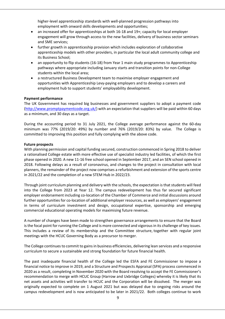higher-level apprenticeship standards with well-planned progression pathways into employment with onward skills developments and opportunities;

- an increased offer for apprenticeships at both 16‐18 and 19+; capacity for local employer engagement will grow through access to the new facilities, delivery of business sector seminars and SME services;
- further growth in apprenticeship provision which includes exploration of collaborative apprenticeship models with other providers, in particular the local adult community college and its Business School;
- an opportunity to flip students (16‐18) from Year 1 main study programmes to Apprenticeship pathways where appropriate including January starts and transition points for non‐College students within the local area;
- a restructured Business Development team to maximise employer engagement and opportunities with Apprenticeship Levy‐paying employers and to develop a careers and employment hub to support students' employability development.

## **Payment performance**

The UK Government has required big businesses and government suppliers to adopt a payment code (http://www.promptpaymentcode.org.uk/) with an expectation that suppliers will be paid within 60 days as a minimum, and 30 days as a target.

During the accounting period to 31 July 2021, the College average performance against the 60‐day minimum was 77% (2019/20: 49%) by number and 76% (2019/20: 83%) by value. The College is committed to improving this position and fully complying with the above code.

#### **Future prospects**

With planning permission and capital funding secured, construction commenced in Spring 2018 to deliver a rationalised College estate with more effective use of specialist industry led facilities, of which the first phase opened in 2020. A new 11‐16 free school opened in September 2017, and an SEN school opened in 2018. Following delays as a result of coronavirus, and changes to the project in consultation with local planners, the remainder of the project now comprises a refurbishment and extension of the sports centre in 2021/22 and the completion of a new STEM Hub in 2022/23.

Through joint curriculum planning and delivery with the schools, the expectation is that students will feed into the College from 2023 at Year 12. The campus redevelopment has thus far secured significant employer endorsement including co-location of the Chamber of Commerce and initial discussions around further opportunities for co-location of additional employer resources, as well as employers' engagement in terms of curriculum investment and design, occupational expertise, sponsorship and emerging commercial educational operating models for maximising future revenue.

A number of changes have been made to strengthen governance arrangements to ensure that the Board is the focal point for running the College and is more connected and vigorous in its challenge of key issues. This includes a review of its membership and the Committee structure, together with regular joint meetings with the HCUC Governing Body as a precursor to merger.

The College continues to commit to gains in business efficiencies, delivering lean services and a responsive curriculum to secure a sustainable and strong foundation for future financial health.

The past inadequate financial health of the College led the ESFA and FE Commissioner to impose a financial notice to improve in 2019, and a Structure and Prospects Appraisal (SPA) process commenced in 2020 as a result, completing in November 2020 with the Board resolving to accept the FE Commissioner's recommendation to merge with HCUC Group (Harrow and Uxbridge Colleges) whereby it is likely that its net assets and activities will transfer to HCUC and the Corporation will be dissolved. The merger was originally expected to complete on 1 August 2021 but was delayed due to ongoing risks around the campus redevelopment and is now anticipated to be later in 2021/22. Both colleges continue to work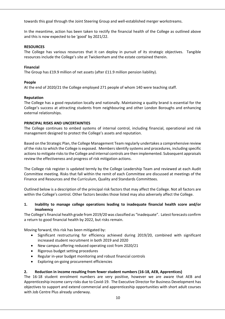towards this goal through the Joint Steering Group and well‐established merger workstreams.

In the meantime, action has been taken to rectify the financial health of the College as outlined above and this is now expected to be 'good' by 2021/22.

## **RESOURCES**

The College has various resources that it can deploy in pursuit of its strategic objectives. Tangible resources include the College's site at Twickenham and the estate contained therein.

## **Financial**

The Group has £19.9 million of net assets (after £11.9 million pension liability).

## **People**

At the end of 2020/21 the College employed 271 people of whom 140 were teaching staff.

## **Reputation**

The College has a good reputation locally and nationally. Maintaining a quality brand is essential for the College's success at attracting students from neighbouring and other London Boroughs and enhancing external relationships.

## **PRINCIPAL RISKS AND UNCERTAINTIES**

The College continues to embed systems of internal control, including financial, operational and risk management designed to protect the College's assets and reputation.

Based on the Strategic Plan, the College Management Team regularly undertakes a comprehensive review of the risks to which the College is exposed. Members identify systems and procedures, including specific actions to mitigate risks to the College and internal controls are then implemented. Subsequent appraisals review the effectiveness and progress of risk mitigation actions.

The College risk register is updated termly by the College Leadership Team and reviewed at each Audit Committee meeting. Risks that fall within the remit of each Committee are discussed at meetings of the Finance and Resources and the Curriculum, Quality and Standards Committees.

Outlined below is a description of the principal risk factors that may affect the College. Not all factors are within the College's control. Other factors besides those listed may also adversely affect the College.

## **1. Inability to manage college operations leading to inadequate financial health score and/or insolvency**

The College's financial health grade from 2019/20 was classified as "inadequate". Latest forecasts confirm a return to good financial health by 2022, but risks remain.

Moving forward, this risk has been mitigated by:

- Significant restructuring for efficiency achieved during 2019/20, combined with significant increased student recruitment in both 2019 and 2020
- New campus offering reduced operating cost from 2020/21
- Rigorous budget setting procedures
- Regular in‐year budget monitoring and robust financial controls
- Exploring on‐going procurement efficiencies

## **2. Reduction in income resulting from fewer student numbers (16‐18, AEB, Apprentices)**

The 16-18 student enrolment numbers are very positive, however we are aware that AEB and Apprenticeship income carry risks due to Covid‐19. The Executive Director for Business Development has objectives to support and extend commercial and apprenticeship opportunities with short adult courses with Job Centre Plus already underway.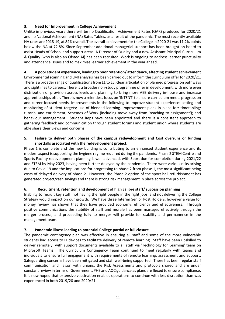## **3. Need for Improvement in College Achievement**

Unlike in previous years there will be no Qualification Achievement Rates (QAR) produced for 2020/21 and no National Achievement (NA) Rates Tables, as a result of the pandemic. The most recently available NA rates are 2018‐19, at 84% overall. The overall achievement for the College in 2020‐21 was 11.2% points below the NA at 72.8%. Since September additional managerial support has been brought on board to assist Heads of School and support areas. A Director of Quality and a new Assistant Principal Curriculum & Quality (who is also an Ofsted AI) has been recruited. Work is ongoing to address learner punctuality and attendance issues and to maximise learner achievement in the year ahead.

## **4. A poor student experience, leading to poor retention/ attendance, affecting student achievement**

Environmental scanning and LMI analysis has been carried out to inform the curriculum offer for 2020/21. There is a broader range of qualifications from L1 to L5; clear articulation of planned progression pathways and sightlines to careers. There is a broader non‐study programme offer in development, with more even distribution of provision across levels and planning to bring more AEB delivery in‐house and increase apprenticeships offer. There is now a relentless focus on 'INTENT' to ensure curriculum meets progression and career-focused needs. Improvements in the following to improve student experience: setting and monitoring of student targets; use of blended learning. Improvement plans in place for: timetabling; tutorial and enrichment; Schemes of Work (including move away from 'teaching to assignment'); and behaviour management. Student Reps have been appointed and there is a consistent approach to gathering feedback and communication through student forums and student union where students are able share their views and concerns.

## **5. Failure to deliver both phases of the campus redevelopment and Cost overruns or funding shortfalls associated with the redevelopment project.**

Phase 1 is complete and the new building is contributing to an enhanced student experience and its modern aspect is supporting the hygiene regime required during the pandemic. Phase 2 STEM Centre and Sports Facility redevelopment planning is well advanced, with Sport due for completion during 2021/22 and STEM by May 2023, having been further delayed by the pandemic. There were various risks arising due to Covid‐19 and the implications for progressing to phase 2 from phase 1, the most significant being costs of delayed delivery of phase 2. However, the Phase 2 option of the sport hall refurbishment has generated project/cash savings and there is strong risk management in place across the project.

## **6. Recruitment, retention and development of high calibre staff/ succession planning**

Inability to recruit key staff, not having the right people in the right jobs, and not delivering the College Strategy would impact on our growth. We have three Interim Senior Post Holders, however a value for money review has shown that they have provided economy, efficiency and effectiveness. Through positive communications the stability of staff and morale has been managed effectively through the merger process, and proceeding fully to merger will provide for stability and permanence in the management team.

## **7. Pandemic illness leading to potential College partial or full closure**

The pandemic contingency plan was effective in ensuring all staff and some of the more vulnerable students had access to IT devices to facilitate delivery of remote learning. Staff have been upskilled to deliver remotely, with support documents available to all staff via 'Technology for Learning' team on Microsoft Teams. The Curriculum Contingency Team continued to meet regularly with teams and individuals to ensure full engagement with requirements of remote learning, assessment and support. Safeguarding concerns have been mitigated and staff well‐being supported. There has been regular staff communication and liaison with unions, the Risk Assessments and protocols shared and are under constant review in terms of Government, PHE and AOC guidance as plans are flexed to ensure compliance. It is now hoped that extensive vaccination enables operations to continue with less disruption than was experienced in both 2019/20 and 2020/21.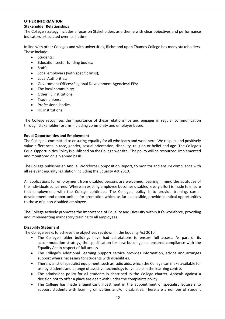## **OTHER INFORMATION**

## **Stakeholder Relationships**

The College strategy includes a focus on Stakeholders as a theme with clear objectives and performance indicators articulated over its lifetime.

In line with other Colleges and with universities, Richmond upon Thames College has many stakeholders. These include:

- Students:
- Education sector funding bodies;
- Staff;
- Local employers (with specific links);
- Local Authorities;
- Government Offices/Regional Development Agencies/LEPs;
- The local community;
- Other FE institutions;
- Trade unions;
- Professional bodies:
- HE institutions

The College recognises the importance of these relationships and engages in regular communication through stakeholder forums including community and employer based.

## **Equal Opportunities and Employment**

The College is committed to ensuring equality for all who learn and work here. We respect and positively value differences in race, gender, sexual orientation, disability, religion or belief and age. The College's Equal Opportunities Policy is published on the College website. The policy will be resourced, implemented and monitored on a planned basis.

The College publishes an Annual Workforce Composition Report, to monitor and ensure compliance with all relevant equality legislation including the Equality Act 2010.

All applications for employment from disabled persons are welcomed, bearing in mind the aptitudes of the individuals concerned. Where an existing employee becomes disabled, every effort is made to ensure that employment with the College continues. The College's policy is to provide training, career development and opportunities for promotion which, as far as possible, provide identical opportunities to those of a non‐disabled employee.

The College actively promotes the importance of Equality and Diversity within its's workforce, providing and implementing mandatory training to all employees.

## **Disability Statement**

The College seeks to achieve the objectives set down in the Equality Act 2010:

- The College's older buildings have had adaptations to ensure full access. As part of its accommodation strategy, the specification for new buildings has ensured compliance with the Equality Act in respect of full access.
- The College's Additional Learning Support service provides information, advice and arranges support where necessary for students with disabilities.
- There is a list of specialist equipment, such as radio aids, which the College can make available for use by students and a range of assistive technology is available in the learning centre.
- The admissions policy for all students is described in the College charter. Appeals against a decision not to offer a place are dealt with under the complaints policy.
- The College has made a significant investment in the appointment of specialist lecturers to support students with learning difficulties and/or disabilities. There are a number of student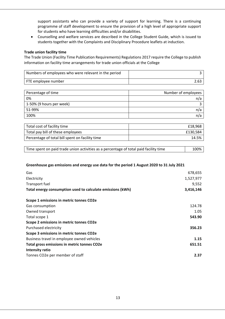support assistants who can provide a variety of support for learning. There is a continuing programme of staff development to ensure the provision of a high level of appropriate support for students who have learning difficulties and/or disabilities.

 Counselling and welfare services are described in the College Student Guide, which is issued to students together with the Complaints and Disciplinary Procedure leaflets at induction.

#### **Trade union facility time**

The Trade Union (Facility Time Publication Requirements) Regulations 2017 require the College to publish information on facility time arrangements for trade union officials at the College

| Numbers of employees who were relevant in the period |      |
|------------------------------------------------------|------|
| FTE employee number                                  | 2.63 |

| Percentage of time       | Number of employees |
|--------------------------|---------------------|
| 0%                       | n/a                 |
| 1-50% (9 hours per week) |                     |
| 51-99%                   | n/a                 |
| 100%                     | n/a                 |

| Total cost of facility time                     | £18,968  |
|-------------------------------------------------|----------|
| Total pay bill of these employees               | £130.584 |
| Percentage of total bill spent on facility time | 14.5%    |

| Time spent on paid trade union activities as a percentage of total paid facility time | 100% |
|---------------------------------------------------------------------------------------|------|
|                                                                                       |      |

## **Greenhouse gas emissions and energy use data for the period 1 August 2020 to 31 July 2021**

| Gas                                                        | 678,655   |
|------------------------------------------------------------|-----------|
| Electricity                                                | 1,527,977 |
| Transport fuel                                             | 9,552     |
| Total energy consumption used to calculate emissions (kWh) | 3,416,146 |
| Scope 1 emissions in metric tonnes CO2e                    |           |
| Gas consumption                                            | 124.78    |
| Owned transport                                            | 1.05      |
| Total scope 1                                              | 543.90    |
| Scope 2 emissions in metric tonnes CO2e                    |           |
| Purchased electricity                                      | 356.23    |
| Scope 3 emissions in metric tonnes CO2e                    |           |
| Business travel in employee owned vehicles                 | 1.15      |
| Total gross emissions in metric tonnes CO2e                | 651.51    |
| Intensity ratio                                            |           |
| Tonnes CO2e per member of staff                            | 2.37      |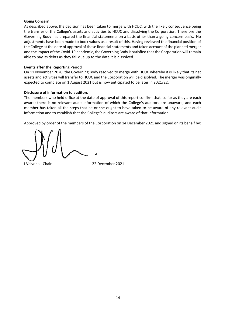#### **Going Concern**

As described above, the decision has been taken to merge with HCUC, with the likely consequence being the transfer of the College's assets and activities to HCUC and dissolving the Corporation. Therefore the Governing Body has prepared the financial statements on a basis other than a going concern basis. No adjustments have been made to book values as a result of this. Having reviewed the financial position of the College at the date of approval of these financial statements and taken account of the planned merger and the impact of the Covid‐19 pandemic, the Governing Body is satisfied that the Corporation will remain able to pay its debts as they fall due up to the date it is dissolved.

#### **Events after the Reporting Period**

On 11 November 2020, the Governing Body resolved to merge with HCUC whereby it is likely that its net assets and activities will transfer to HCUC and the Corporation will be dissolved. The merger was originally expected to complete on 1 August 2021 but is now anticipated to be later in 2021/22.

#### **Disclosure of information to auditors**

The members who held office at the date of approval of this report confirm that, so far as they are each aware; there is no relevant audit information of which the College's auditors are unaware; and each member has taken all the steps that he or she ought to have taken to be aware of any relevant audit information and to establish that the College's auditors are aware of that information.

Approved by order of the members of the Corporation on 14 December 2021 and signed on its behalf by:

I Valvona ‐ Chair 22 December 2021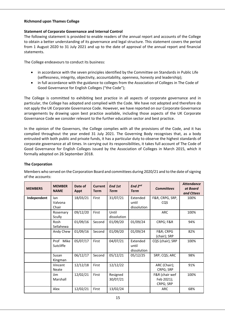## **Richmond upon Thames College**

## **Statement of Corporate Governance and Internal Control**

The following statement is provided to enable readers of the annual report and accounts of the College to obtain a better understanding of its governance and legal structure. This statement covers the period from 1 August 2020 to 31 July 2021 and up to the date of approval of the annual report and financial statements.

The College endeavours to conduct its business:

- in accordance with the seven principles identified by the Committee on Standards in Public Life (selflessness, integrity, objectivity, accountability, openness, honesty and leadership);
- in full accordance with the guidance to colleges from the Association of Colleges in The Code of Good Governance for English Colleges ("the Code");

The College is committed to exhibiting best practice in all aspects of corporate governance and in particular, the College has adopted and complied with the Code. We have not adopted and therefore do not apply the UK Corporate Governance Code. However, we have reported on our Corporate Governance arrangements by drawing upon best practice available, including those aspects of the UK Corporate Governance Code we consider relevant to the further education sector and best practice.

In the opinion of the Governors, the College complies with all the provisions of the Code, and it has complied throughout the year ended 31 July 2021. The Governing Body recognises that, as a body entrusted with both public and private funds, it has a particular duty to observe the highest standards of corporate governance at all times. In carrying out its responsibilities, it takes full account of The Code of Good Governance for English Colleges issued by the Association of Colleges in March 2015, which it formally adopted on 26 September 2018.

## **The Corporation**

Members who served on the Corporation Board and committees during 2020/21 and to the date of signing of the accounts:

| <b>MEMBERS</b> | <b>MEMBER</b><br><b>NAME</b> | Date of<br><b>Appt</b> | <b>Current</b><br><b>Term</b> | End 1st<br><b>Term</b> | End 2nd<br><b>Term</b>           | <b>Committees</b>                         | <b>Attendance</b><br>at Board<br>and Cttees |
|----------------|------------------------------|------------------------|-------------------------------|------------------------|----------------------------------|-------------------------------------------|---------------------------------------------|
| Independent    | lan<br>Valvona               | 18/03/21               | First                         | 31/07/21               | Extended<br>until                | F&R, CRPG, SRP,<br><b>CQS</b>             | 100%                                        |
|                | Chair                        |                        |                               |                        | dissolution                      |                                           |                                             |
|                | Rosemary<br>Scully           | 09/12/20               | First                         | Until<br>dissolution   |                                  | ARC                                       | 100%                                        |
|                | Rosh<br>Sellahewa            | 01/09/16               | Second                        | 01/09/20               | 01/09/24                         | CRPG; F&R                                 | 94%                                         |
|                | Andy Chew                    | 01/09/16               | Second                        | 01/09/20               | 01/09/24                         | F&R CRPG<br>(chair); SRP                  | 82%                                         |
|                | Prof Mike<br>Sutcliffe       | 05/07/17               | First                         | 04/07/21               | Extended<br>until<br>dissolution | CQS (chair); SRP                          | 100%                                        |
|                | Susan<br>Kingman             | 06/12/17               | Second                        | 05/12/21               | 05/12/25                         | SRP; CQS; ARC                             | 98%                                         |
|                | Vincent<br><b>Neate</b>      | 12/12/18               | First                         | 12/12/22               |                                  | ARC (Chair);<br>CRPG; SRP                 | 91%                                         |
|                | Jim<br>Marshall              | 12/02/21               | First                         | Resigned<br>30/07/21   |                                  | F&R (chair wef<br>Feb 2021);<br>CRPG; SRP | 100%                                        |
|                | Alex                         | 12/02/21               | First                         | 13/02/24               |                                  | ARC                                       | 68%                                         |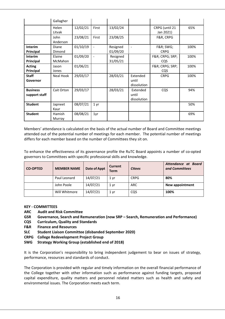|                                  | Gallagher                |          |                          |                      |                                  |                                    |      |
|----------------------------------|--------------------------|----------|--------------------------|----------------------|----------------------------------|------------------------------------|------|
|                                  | Helen<br>Litvak          | 12/02/21 | First                    | 13/02/24             |                                  | CRPG (until 21<br>Jan 2021)        | 65%  |
|                                  | John<br>Anderson         | 23/08/21 | First                    | 23/08/25             |                                  | F&R, CRPG                          |      |
| <b>Interim</b><br>Principal      | <b>Diane</b><br>Dimond   | 01/10/19 | $\blacksquare$           | Resigned<br>01/09/20 | $\blacksquare$                   | <b>F&amp;R SWG;</b><br><b>CRPG</b> | 100% |
| <b>Interim</b><br>Principal      | Elaine<br><b>McMahon</b> | 01/09/20 | $\overline{\phantom{a}}$ | Resigned<br>31/05/21 |                                  | F&R CRPG; SRP;<br>CQS              | 100% |
| <b>Acting</b><br>Principal       | Jason<br>Jones           | 01/06/21 |                          |                      |                                  | F&R CRPG; SRP;<br>CQS              | 100% |
| <b>Staff</b><br>Governor         | Neal Hook                | 29/03/17 |                          | 28/03/21             | Extended<br>until<br>dissolution | <b>CRPG</b>                        | 100% |
| <b>Business</b><br>support staff | Cait Orton               | 29/03/17 |                          | 28/03/21             | Extended<br>until<br>dissolution | CQS                                | 94%  |
| <b>Student</b>                   | Japneet<br>Kaur          | 08/07/21 | 1 yr                     |                      |                                  |                                    | 50%  |
| <b>Student</b>                   | Hamish<br>Murray         | 08/08/21 | 1yr                      |                      |                                  |                                    | 69%  |

Members' attendance is calculated on the basis of the actual number of Board and Committee meetings attended out of the potential number of meetings for each member. The potential number of meetings differs for each member based on the number of Committees they sit on.

To enhance the effectiveness of its governance profile the RuTC Board appoints a number of co‐opted governors to Committees with specific professional skills and knowledge.

| <b>CO-OPTED</b> | <b>MEMBER NAME</b> | Date of Appt | <b>Current</b><br><b>Term</b> | <b>Cttees</b> | Attendance at Board<br>and Committees |
|-----------------|--------------------|--------------|-------------------------------|---------------|---------------------------------------|
|                 | Paul Leonard       | 14/07/21     | 1 yr                          | <b>CRPG</b>   | 80%                                   |
|                 | John Poole         | 14/07/21     | 1 yr                          | ARC           | New appointment                       |
|                 | Will Whitmore      | 14/07/21     | 1 yr                          | CQS           | 100%                                  |

## **KEY ‐ COMMITTEES**

- **ARC Audit and Risk Committee**
- **GSR Governance, Search and Remuneration (now SRP Search, Remuneration and Performance)**
- **CQS Curriculum, Quality and Standards**
- **F&R Finance and Resources**
- **SLC Student Liaison Committee (disbanded September 2020)**
- **CRPG College Redevelopment Project Group**
- **SWG Strategy Working Group (established end of 2018)**

It is the Corporation's responsibility to bring independent judgement to bear on issues of strategy, performance, resources and standards of conduct.

The Corporation is provided with regular and timely information on the overall financial performance of the College together with other information such as performance against funding targets, proposed capital expenditure, quality matters and personnel related matters such as health and safety and environmental issues. The Corporation meets each term.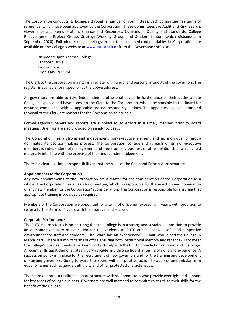The Corporation conducts its business through a number of committees. Each committee has terms of reference, which have been approved by the Corporation. These Committees are Audit and Risk; Search, Governance and Remuneration; Finance and Resources; Curriculum, Quality and Standards; College Redevelopment Project Group, Strategy Working Group and Student Liaison (which disbanded in September 2020). Full minutes of all meetings, except those deemed confidential by the Corporation, are available on the College's website at www.rutc.ac.uk or from the Governance office at:

Richmond upon Thames College Langhorn Drive Twickenham Middlesex TW2 7SJ

The Clerk to the Corporation maintains a register of financial and personal interests of the governors. The register is available for inspection at the above address.

All governors are able to take independent professional advice in furtherance of their duties at the College's expense and have access to the Clerk to the Corporation, who is responsible to the Board for ensuring compliance with all applicable procedures and regulations. The appointment, evaluation and removal of the Clerk are matters for the Corporation as a whole.

Formal agendas, papers and reports are supplied to governors in a timely manner, prior to Board meetings. Briefings are also provided on an ad‐hoc basis.

The Corporation has a strong and independent non-executive element and no individual or group dominates its decision-making process. The Corporation considers that each of its non-executive members is independent of management and free from any business or other relationship, which could materially interfere with the exercise of their independent judgement.

There is a clear division of responsibility in that the roles of the Chair and Principal are separate.

## **Appointments to the Corporation**

Any new appointments to the Corporation are a matter for the consideration of the Corporation as a whole. The Corporation has a Search Committee, which is responsible for the selection and nomination of any new member for the Corporation's consideration. The Corporation is responsible for ensuring that appropriate training is provided as required.

Members of the Corporation are appointed for a term of office not exceeding 4 years, with provision to serve a further term of 4 years with the approval of the Board.

## **Corporate Performance**

The RuTC Board's focus is on ensuring that the College is in a strong and sustainable position to provide an outstanding quality of education for the students at RuTC and a positive, safe and supportive environment for staff and students. The Board has an experienced FE Chair who joined the College in March 2020. There is a mix of terms of office ensuring both institutional memory and recent skills to meet the College's business needs. The Board works closely with the CLT to provide both support and challenge. A recent skills audit demonstrates a very capable and diverse Board in terms of skills and experience. A succession policy is in place for the recruitment of new governors and for the training and development of existing governors. Going forward the Board will use positive action to address any imbalance in equality issues such as gender, ethnicity and other protected characteristics.

The Board operates a traditional board structure with six Committees who provide oversight and support for key areas of college business. Governors are well matched to committees to utilise their skills for the benefit of the College.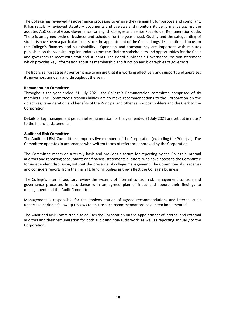The College has reviewed its governance processes to ensure they remain fit for purpose and compliant. It has regularly reviewed statutory documents and byelaws and monitors its performance against the adopted AoC Code of Good Governance for English Colleges and Senior Post Holder Remuneration Code. There is an agreed cycle of business and schedule for the year ahead. Quality and the safeguarding of students have been a particular focus since the appointment of the Chair, alongside a continued focus on the College's finances and sustainability. Openness and transparency are important with minutes published on the website, regular updates from the Chair to stakeholders and opportunities for the Chair and governors to meet with staff and students. The Board publishes a Governance Position statement which provides key information about its membership and function and biographies of governors.

The Board self‐assesses its performance to ensure that it is working effectively and supports and appraises its governors annually and throughout the year.

#### **Remuneration Committee**

Throughout the year ended 31 July 2021, the College's Remuneration committee comprised of six members. The Committee's responsibilities are to make recommendations to the Corporation on the objectives, remuneration and benefits of the Principal and other senior post holders and the Clerk to the Corporation.

Details of key management personnel remuneration for the year ended 31 July 2021 are set out in note 7 to the financial statements.

#### **Audit and Risk Committee**

The Audit and Risk Committee comprises five members of the Corporation (excluding the Principal). The Committee operates in accordance with written terms of reference approved by the Corporation.

The Committee meets on a termly basis and provides a forum for reporting by the College's internal auditors and reporting accountants and financial statements auditors, who have access to the Committee for independent discussion, without the presence of college management. The Committee also receives and considers reports from the main FE funding bodies as they affect the College's business.

The College's internal auditors review the systems of internal control, risk management controls and governance processes in accordance with an agreed plan of input and report their findings to management and the Audit Committee.

Management is responsible for the implementation of agreed recommendations and internal audit undertake periodic follow up reviews to ensure such recommendations have been implemented.

The Audit and Risk Committee also advises the Corporation on the appointment of internal and external auditors and their remuneration for both audit and non‐audit work, as well as reporting annually to the Corporation.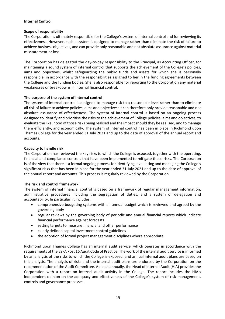## **Internal Control**

## **Scope of responsibility**

The Corporation is ultimately responsible for the College's system of internal control and for reviewing its effectiveness. However, such a system is designed to manage rather than eliminate the risk of failure to achieve business objectives, and can provide only reasonable and not absolute assurance against material misstatement or loss.

The Corporation has delegated the day-to-day responsibility to the Principal, as Accounting Officer, for maintaining a sound system of internal control that supports the achievement of the College's policies, aims and objectives, whilst safeguarding the public funds and assets for which she is personally responsible, in accordance with the responsibilities assigned to her in the funding agreements between the College and the funding bodies. She is also responsible for reporting to the Corporation any material weaknesses or breakdowns in internal financial control.

## **The purpose of the system of internal control**

The system of internal control is designed to manage risk to a reasonable level rather than to eliminate all risk of failure to achieve policies, aims and objectives; it can therefore only provide reasonable and not absolute assurance of effectiveness. The system of internal control is based on an ongoing process designed to identify and prioritise the risks to the achievement of College policies, aims and objectives, to evaluate the likelihood of those risks being realised and the impact should they be realised, and to manage them efficiently, and economically. The system of internal control has been in place in Richmond upon Thames College for the year ended 31 July 2021 and up to the date of approval of the annual report and accounts.

## **Capacity to handle risk**

The Corporation has reviewed the key risks to which the College is exposed, together with the operating, financial and compliance controls that have been implemented to mitigate those risks. The Corporation is of the view that there is a formal ongoing process for identifying, evaluating and managing the College's significant risks that has been in place for the year ended 31 July 2021 and up to the date of approval of the annual report and accounts. This process is regularly reviewed by the Corporation.

## **The risk and control framework**

The system of internal financial control is based on a framework of regular management information, administrative procedures including the segregation of duties, and a system of delegation and accountability. In particular, it includes:

- comprehensive budgeting systems with an annual budget which is reviewed and agreed by the governing body
- regular reviews by the governing body of periodic and annual financial reports which indicate financial performance against forecasts
- setting targets to measure financial and other performance
- clearly defined capital investment control guidelines
- the adoption of formal project management disciplines where appropriate

Richmond upon Thames College has an internal audit service, which operates in accordance with the requirements of the ESFA Post 16 Audit Code of Practice. The work of the internal audit service is informed by an analysis of the risks to which the College is exposed, and annual internal audit plans are based on this analysis. The analysis of risks and the internal audit plans are endorsed by the Corporation on the recommendation of the Audit Committee. At least annually, the Head of Internal Audit (HIA) provides the Corporation with a report on internal audit activity in the College. The report includes the HIA's independent opinion on the adequacy and effectiveness of the College's system of risk management, controls and governance processes.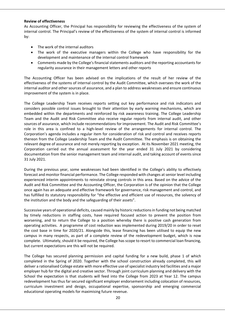#### **Review of effectiveness**

As Accounting Officer, the Principal has responsibility for reviewing the effectiveness of the system of internal control. The Principal's review of the effectiveness of the system of internal control is informed by:

- The work of the internal auditors
- The work of the executive managers within the College who have responsibility for the development and maintenance of the internal control framework
- Comments made by the College's financial statements auditors and the reporting accountants for regularity assurance in their management letters and other reports

The Accounting Officer has been advised on the implications of the result of her review of the effectiveness of the systems of internal control by the Audit Committee, which oversees the work of the internal auditor and other sources of assurance, and a plan to address weaknesses and ensure continuous improvement of the system is in place.

The College Leadership Team receives reports setting out key performance and risk indicators and considers possible control issues brought to their attention by early warning mechanisms, which are embedded within the departments and reinforced by risk awareness training. The College Leadership Team and the Audit and Risk Committee also receive regular reports from internal audit, and other sources of assurance, which include recommendations for improvement. The Audit and Risk Committee's role in this area is confined to a high-level review of the arrangements for internal control. The Corporation's agenda includes a regular item for consideration of risk and control and receives reports thereon from the College Leadership Team and the Audit Committee. The emphasis is on obtaining the relevant degree of assurance and not merely reporting by exception. At its November 2021 meeting, the Corporation carried out the annual assessment for the year ended 31 July 2021 by considering documentation from the senior management team and internal audit, and taking account of events since 31 July 2021.

During the previous year, some weaknesses had been identified in the College's ability to effectively forecast and monitor financial performance. The College responded with changes at senior level including experienced interim appointments to reinstate strong controls in this area. Based on the advice of the Audit and Risk Committee and the Accounting Officer, the Corporation is of the opinion that the College once again has an adequate and effective framework for governance, risk management and control, and has fulfilled its statutory responsibility for "the effective and efficient use of resources, the solvency of the institution and the body and the safeguarding of their assets".

Successive years of operational deficits, caused mainly by historic reductions in funding not being matched by timely reductions in staffing costs, have required focused action to prevent the position from worsening, and to return the College to a position whereby there is positive cash generation from operating activities. A programme of cost reduction was implemented during 2019/20 in order to reset the cost base in time for 2020/21. Alongside this, lease financing has been utilised to equip the new campus in many respects, as part of a complete review of the redevelopment budget, which is now complete. Ultimately, should it be required, the College has scope to resort to commercial loan financing, but current expectations are this will not be required.

The College has secured planning permission and capital funding for a new build, phase 1 of which completed in the Spring of 2020. Together with the school construction already completed, this will deliver a rationalised College estate with more effective use of specialist industry led facilities and a major employer hub for the digital and creative sector. Through joint curriculum planning and delivery with the School the expectation is that students will feed into the College from 2023 at Year 12. The campus redevelopment has thus far secured significant employer endorsement including colocation of resources, curriculum investment and design, occupational expertise, sponsorship and emerging commercial educational operating models for maximising future revenue.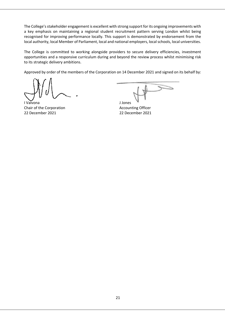The College's stakeholder engagement is excellent with strong support for its ongoing improvements with a key emphasis on maintaining a regional student recruitment pattern serving London whilst being recognised for improving performance locally. This support is demonstrated by endorsement from the local authority, local Member of Parliament, local and national employers, local schools, local universities.

The College is committed to working alongside providers to secure delivery efficiencies, investment opportunities and a responsive curriculum during and beyond the review process whilst minimising risk to its strategic delivery ambitions.

Approved by order of the members of the Corporation on 14 December 2021 and signed on its behalf by:

I Valvona J Jones Chair of the Corporation **Chair Constant Constant Constant Constant Constant Constant Constant Constant Constant Constant Constant Constant Constant Constant Constant Constant Constant Constant Constant Constant Constant C** 22 December 2021 22 December 2021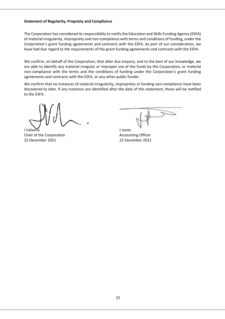## **Statement of Regularity, Propriety and Compliance**

The Corporation has considered its responsibility to notify the Education and Skills Funding Agency (ESFA) of material irregularity, impropriety and non‐compliance with terms and conditions of funding, under the Corporation's grant funding agreements and contracts with the ESFA. As part of our consideration, we have had due regard to the requirements of the grant funding agreements and contracts with the ESFA.

We confirm, on behalf of the Corporation, that after due enquiry, and to the best of our knowledge, we are able to identify any material irregular or improper use of the funds by the Corporation, or material non‐compliance with the terms and the conditions of funding under the Corporation's grant funding agreements and contracts with the ESFA, or any other public funder.

We confirm that no instances of material irregularity, impropriety or funding non-compliance have been discovered to date. If any instances are identified after the date of this statement, these will be notified to the ESFA.

I Valvona J Jones Chair of the Corporation **Chair Construction Accounting Officer** 22 December 2021 22 December 2021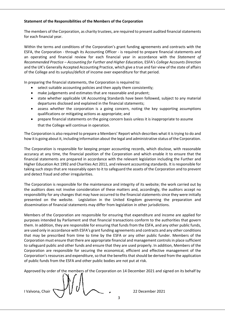## **Statement of the Responsibilities of the Members of the Corporation**

The members of the Corporation, as charity trustees, are required to present audited financial statements for each financial year.

Within the terms and conditions of the Corporation's grant funding agreements and contracts with the ESFA, the Corporation ‐ through its Accounting Officer ‐ is required to prepare financial statements and an operating and financial review for each financial year in accordance with the *Statement of Recommended Practice – Accounting for Further and Higher Education,* ESFA's *College* A*ccounts Direction*  and the UK's Generally Accepted Accounting Practice, which give a true and fair view of the state of affairs of the College and its surplus/deficit of income over expenditure for that period.

In preparing the financial statements, the Corporation is required to:

- select suitable accounting policies and then apply them consistently;
- make judgements and estimates that are reasonable and prudent;
- state whether applicable UK Accounting Standards have been followed, subject to any material departures disclosed and explained in the financial statements;
- assess whether the corporation is a going concern, noting the key supporting assumptions qualifications or mitigating actions as appropriate; and
- prepare financial statements on the going concern basis unless it is inappropriate to assume that the College will continue in operation.

The Corporation is also required to prepare a Members' Report which describes what it is trying to do and how it is going about it, including information about the legal and administrative status of the Corporation.

The Corporation is responsible for keeping proper accounting records, which disclose, with reasonable accuracy at any time, the financial position of the Corporation and which enable it to ensure that the financial statements are prepared in accordance with the relevant legislation including the Further and Higher Education Act 1992 and Charities Act 2011, and relevant accounting standards. It is responsible for taking such steps that are reasonably open to it to safeguard the assets of the Corporation and to prevent and detect fraud and other irregularities.

The Corporation is responsible for the maintenance and integrity of its website; the work carried out by the auditors does not involve consideration of these matters and, accordingly, the auditors accept no responsibility for any changes that may have occurred to the financial statements since they were initially presented on the website. Legislation in the United Kingdom governing the preparation and dissemination of financial statements may differ from legislation in other jurisdictions.

Members of the Corporation are responsible for ensuring that expenditure and income are applied for purposes intended by Parliament and that financial transactions conform to the authorities that govern them. In addition, they are responsible for ensuring that funds from the ESFA, and any other public funds, are used only in accordance with ESFA's grant funding agreements and contracts and any other conditions that may be prescribed from time to time by the ESFA or any other public funder. Members of the Corporation must ensure that there are appropriate financial and management controls in place sufficient to safeguard public and other funds and ensure that they are used properly. In addition, Members of the Corporation are responsible for securing the economical, efficient and effective management of the Corporation's resources and expenditure, so that the benefits that should be derived from the application of public funds from the ESFA and other public bodies are not put at risk.

Approved by order of the members of the Corporation on 14 December 2021 and signed on its behalf by

I Valvona, Chair 22 December 2021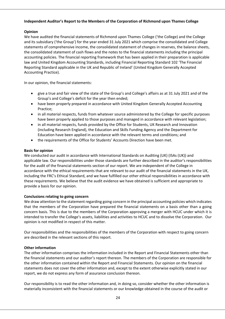## **Independent Auditor's Report to the Members of the Corporation of Richmond upon Thames College**

## **Opinion**

We have audited the financial statements of Richmond upon Thames College ('the College) and the College and its subsidiary ('the Group') for the year ended 31 July 2021 which comprise the consolidated and College statements of comprehensive income, the consolidated statement of changes in reserves, the balance sheets, the consolidated statement of cash flows and the notes to the financial statements including the principal accounting policies. The financial reporting framework that has been applied in their preparation is applicable law and United Kingdom Accounting Standards, including Financial Reporting Standard 102 'The Financial Reporting Standard applicable in the UK and Republic of Ireland' (United Kingdom Generally Accepted Accounting Practice).

In our opinion, the financial statements:

- give a true and fair view of the state of the Group's and College's affairs as at 31 July 2021 and of the Group's and College's deficit for the year then ended;
- have been properly prepared in accordance with United Kingdom Generally Accepted Accounting Practice;
- in all material respects, funds from whatever source administered by the College for specific purposes have been properly applied to those purposes and managed in accordance with relevant legislation;
- in all material respects, funds provided by the Office for Students, UK Research and Innovation (including Research England), the Education and Skills Funding Agency and the Department for Education have been applied in accordance with the relevant terms and conditions; and
- the requirements of the Office for Students' Accounts Direction have been met.

## **Basis for opinion**

We conducted our audit in accordance with International Standards on Auditing (UK) (ISAs (UK)) and applicable law. Our responsibilities under those standards are further described in the auditor's responsibilities for the audit of the financial statements section of our report. We are independent of the College in accordance with the ethical requirements that are relevant to our audit of the financial statements in the UK, including the FRC's Ethical Standard, and we have fulfilled our other ethical responsibilities in accordance with these requirements. We believe that the audit evidence we have obtained is sufficient and appropriate to provide a basis for our opinion.

## **Conclusions relating to going concern**

We draw attention to the statement regarding going concern in the principal accounting policies which indicates that the members of the Corporation have prepared the financial statements on a basis other than a going concern basis. This is due to the members of the Corporation approving a merger with HCUC under which it is intended to transfer the College's assets, liabilities and activities to HCUC and to dissolve the Corporation. Our opinion is not modified in respect of this matter.

Our responsibilities and the responsibilities of the members of the Corporation with respect to going concern are described in the relevant sections of this report.

## **Other information**

The other information comprises the information included in the Report and Financial Statements other than the financial statements and our auditor's report thereon. The members of the Corporation are responsible for the other information contained within the Report and Financial Statements. Our opinion on the financial statements does not cover the other information and, except to the extent otherwise explicitly stated in our report, we do not express any form of assurance conclusion thereon.

Our responsibility is to read the other information and, in doing so, consider whether the other information is materially inconsistent with the financial statements or our knowledge obtained in the course of the audit or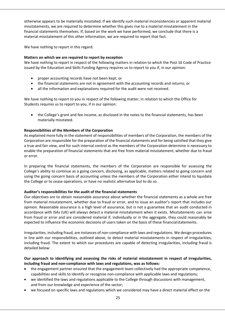otherwise appears to be materially misstated. If we identify such material inconsistencies or apparent material misstatements, we are required to determine whether this gives rise to a material misstatement in the financial statements themselves. If, based on the work we have performed, we conclude that there is a material misstatement of this other information, we are required to report that fact.

We have nothing to report in this regard.

## **Matters on which we are required to report by exception**

We have nothing to report in respect of the following matters in relation to which the Post 16 Code of Practice issued by the Education and Skills Funding Agency requires us to report to you if, in our opinion:

- proper accounting records have not been kept; or
- the financial statements are not in agreement with the accounting records and returns; or
- all the information and explanations required for the audit were not received.

We have nothing to report to you in respect of the following matter, in relation to which the Office for Students requires us to report to you, if in our opinion:

 the College's grant and fee income, as disclosed in the notes to the financial statements, has been materially misstated.

## **Responsibilities of the Members of the Corporation**

As explained more fully in the statement of responsibilities of members of the Corporation, the members of the Corporation are responsible for the preparation of the financial statements and for being satisfied that they give a true and fair view, and for such internal control as the members of the Corporation determine is necessary to enable the preparation of financial statements that are free from material misstatement, whether due to fraud or error.

In preparing the financial statements, the members of the Corporation are responsible for assessing the College's ability to continue as a going concern, disclosing, as applicable, matters related to going concern and using the going concern basis of accounting unless the members of the Corporation either intend to liquidate the College or to cease operations, or have no realistic alternative but to do so.

## **Auditor's responsibilities for the audit of the financial statements**

Our objectives are to obtain reasonable assurance about whether the financial statements as a whole are free from material misstatement, whether due to fraud or error, and to issue an auditor's report that includes our opinion. Reasonable assurance is a high level of assurance, but is not a guarantee that an audit conducted in accordance with ISAs (UK) will always detect a material misstatement when it exists. Misstatements can arise from fraud or error and are considered material if, individually or in the aggregate, they could reasonably be expected to influence the economic decisions of users taken on the basis of these financial statements.

Irregularities, including fraud, are instances of non‐compliance with laws and regulations. We design procedures in line with our responsibilities, outlined above, to detect material misstatements in respect of irregularities, including fraud. The extent to which our procedures are capable of detecting irregularities, including fraud is detailed below:

## **Our approach to identifying and assessing the risks of material misstatement in respect of irregularities, including fraud and non‐compliance with laws and regulations, was as follows:**

- the engagement partner ensured that the engagement team collectively had the appropriate competence, capabilities and skills to identify or recognise non‐compliance with applicable laws and regulations;
- we identified the laws and regulations applicable to the College through discussions with management, and from our knowledge and experience of the sector;
- we focused on specific laws and regulations which we considered may have a direct material effect on the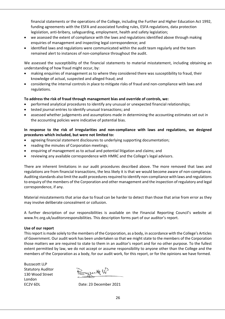financial statements or the operations of the College, including the Further and Higher Education Act 1992, funding agreements with the ESFA and associated funding rules, ESFA regulations, data protection legislation, anti-bribery, safeguarding, employment, health and safety legislation;

- we assessed the extent of compliance with the laws and regulations identified above through making enquiries of management and inspecting legal correspondence; and
- identified laws and regulations were communicated within the audit team regularly and the team remained alert to instances of non‐compliance throughout the audit.

We assessed the susceptibility of the financial statements to material misstatement, including obtaining an understanding of how fraud might occur, by:

- making enquiries of management as to where they considered there was susceptibility to fraud, their knowledge of actual, suspected and alleged fraud; and
- considering the internal controls in place to mitigate risks of fraud and non‐compliance with laws and regulations.

## **To address the risk of fraud through management bias and override of controls, we:**

- performed analytical procedures to identify any unusual or unexpected financial relationships;
- tested journal entries to identify unusual transactions; and
- assessed whether judgements and assumptions made in determining the accounting estimates set out in the accounting policies were indicative of potential bias.

## **In response to the risk of irregularities and non‐compliance with laws and regulations, we designed procedures which included, but were not limited to:**

- agreeing financial statement disclosures to underlying supporting documentation;
- reading the minutes of Corporation meetings;
- enquiring of management as to actual and potential litigation and claims; and
- reviewing any available correspondence with HMRC and the College's legal advisors.

There are inherent limitations in our audit procedures described above. The more removed that laws and regulations are from financial transactions, the less likely it is that we would become aware of non‐compliance. Auditing standards also limit the audit procedures required to identify non‐compliance with laws and regulations to enquiry of the members of the Corporation and other management and the inspection of regulatory and legal correspondence, if any.

Material misstatements that arise due to fraud can be harder to detect than those that arise from error as they may involve deliberate concealment or collusion.

A further description of our responsibilities is available on the Financial Reporting Council's website at www.frc.org.uk/auditorsresponsibilities. This description forms part of our auditor's report.

## **Use of our report**

This report is made solely to the members of the Corporation, as a body, in accordance with the College's Articles of Government. Our audit work has been undertaken so that we might state to the members of the Corporation those matters we are required to state to them in an auditor's report and for no other purpose. To the fullest extent permitted by law, we do not accept or assume responsibility to anyone other than the College and the members of the Corporation as a body, for our audit work, for this report, or for the opinions we have formed.

Buzzacott LLP Statutory Auditor 130 Wood Street London

Byzact W

EC2V 6DL Date: 23 December 2021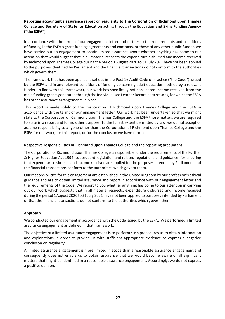## **Reporting accountant's assurance report on regularity to The Corporation of Richmond upon Thames College and Secretary of State for Education acting through the Education and Skills Funding Agency ("the ESFA")**

In accordance with the terms of our engagement letter and further to the requirements and conditions of funding in the ESFA's grant funding agreements and contracts, or those of any other public funder, we have carried out an engagement to obtain limited assurance about whether anything has come to our attention that would suggest that in all material respects the expenditure disbursed and income received by Richmond upon Thames College during the period 1 August 2020 to 31 July 2021 have not been applied to the purposes identified by Parliament and the financial transactions do not conform to the authorities which govern them.

The framework that has been applied is set out in the Post 16 Audit Code of Practice ("the Code") issued by the ESFA and in any relevant conditions of funding concerning adult education notified by a relevant funder. In line with this framework, our work has specifically not considered income received from the main funding grants generated through the Individualised Learner Record data returns, for which the ESFA has other assurance arrangements in place.

This report is made solely to the Corporation of Richmond upon Thames College and the ESFA in accordance with the terms of our engagement letter. Our work has been undertaken so that we might state to the Corporation of Richmond upon Thames College and the ESFA those matters we are required to state in a report and for no other purpose. To the fullest extent permitted by law, we do not accept or assume responsibility to anyone other than the Corporation of Richmond upon Thames College and the ESFA for our work, for this report, or for the conclusion we have formed.

## **Respective responsibilities of Richmond upon Thames College and the reporting accountant**

The Corporation of Richmond upon Thames College is responsible, under the requirements of the Further & Higher Education Act 1992, subsequent legislation and related regulations and guidance, for ensuring that expenditure disbursed and income received are applied for the purposes intended by Parliament and the financial transactions conform to the authorities which govern them.

Our responsibilities for this engagement are established in the United Kingdom by our profession's ethical guidance and are to obtain limited assurance and report in accordance with our engagement letter and the requirements of the Code. We report to you whether anything has come to our attention in carrying out our work which suggests that in all material respects, expenditure disbursed and income received during the period 1August 2020 to 31 July 2021 have not been applied to purposes intended by Parliament or that the financial transactions do not conform to the authorities which govern them.

## **Approach**

We conducted our engagement in accordance with the Code issued by the ESFA. We performed a limited assurance engagement as defined in that framework.

The objective of a limited assurance engagement is to perform such procedures as to obtain information and explanations in order to provide us with sufficient appropriate evidence to express a negative conclusion on regularity.

A limited assurance engagement is more limited in scope than a reasonable assurance engagement and consequently does not enable us to obtain assurance that we would become aware of all significant matters that might be identified in a reasonable assurance engagement. Accordingly, we do not express a positive opinion.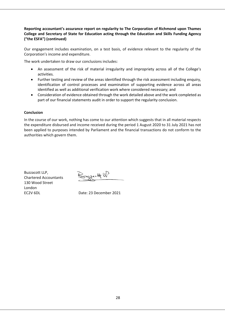## **Reporting accountant's assurance report on regularity to The Corporation of Richmond upon Thames College and Secretary of State for Education acting through the Education and Skills Funding Agency ("the ESFA") (continued)**

Our engagement includes examination, on a test basis, of evidence relevant to the regularity of the Corporation's income and expenditure.

The work undertaken to draw our conclusions includes:

- An assessment of the risk of material irregularity and impropriety across all of the College's activities.
- Further testing and review of the areas identified through the risk assessment including enquiry, identification of control processes and examination of supporting evidence across all areas identified as well as additional verification work where considered necessary; and
- Consideration of evidence obtained through the work detailed above and the work completed as part of our financial statements audit in order to support the regularity conclusion.

## **Conclusion**

In the course of our work, nothing has come to our attention which suggests that in all material respects the expenditure disbursed and income received during the period 1 August 2020 to 31 July 2021 has not been applied to purposes intended by Parliament and the financial transactions do not conform to the authorities which govern them.

Buzzacott LLP,<br>Chartered Accountants Engracity W Chartered Accountants 130 Wood Street London

EC2V 6DL Date: 23 December 2021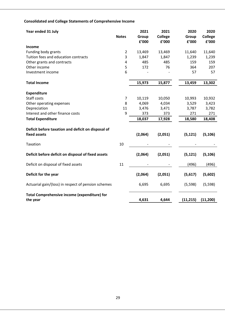## **Consolidated and College Statements of Comprehensive Income**

| Year ended 31 July                                  |                | 2021    | 2021    | 2020      | 2020           |
|-----------------------------------------------------|----------------|---------|---------|-----------|----------------|
|                                                     | <b>Notes</b>   | Group   | College | Group     | <b>College</b> |
|                                                     |                | £'000   | £'000   | £'000     | f'000          |
| <b>Income</b>                                       |                |         |         |           |                |
| Funding body grants                                 | $\overline{2}$ | 13,469  | 13,469  | 11,640    | 11,640         |
| Tuition fees and education contracts                | 3              | 1,847   | 1,847   | 1,239     | 1,239          |
| Other grants and contracts                          | $\overline{4}$ | 485     | 485     | 159       | 159            |
| Other income                                        | 5              | 172     | 76      | 364       | 207            |
| Investment income                                   | 6              |         |         | 57        | 57             |
| <b>Total Income</b>                                 |                | 15,973  | 15,877  | 13,459    | 13,302         |
| <b>Expenditure</b>                                  |                |         |         |           |                |
| Staff costs                                         | 7              | 10,119  | 10,050  | 10,993    | 10,932         |
| Other operating expenses                            | 8              | 4,069   | 4,034   | 3,529     | 3,423          |
| Depreciation                                        | 11             | 3,476   | 3,471   | 3,787     | 3,782          |
| Interest and other finance costs                    | 9              | 373     | 373     | 271       | 271            |
| <b>Total Expenditure</b>                            |                | 18,037  | 17,928  | 18,580    | 18,408         |
| Deficit before taxation and deficit on disposal of  |                |         |         |           |                |
| fixed assets                                        |                | (2,064) | (2,051) | (5, 121)  | (5, 106)       |
| Taxation                                            | 10             |         |         |           |                |
| Deficit before deficit on disposal of fixed assets  |                | (2,064) | (2,051) | (5, 121)  | (5, 106)       |
| Deficit on disposal of fixed assets                 | 11             |         |         | (496)     | (496)          |
| Deficit for the year                                |                | (2,064) | (2,051) | (5,617)   | (5,602)        |
| Actuarial gain/(loss) in respect of pension schemes |                | 6,695   | 6,695   | (5, 598)  | (5, 598)       |
| <b>Total Comprehensive income (expenditure) for</b> |                |         |         |           |                |
| the year                                            |                | 4,631   | 4,644   | (11, 215) | (11, 200)      |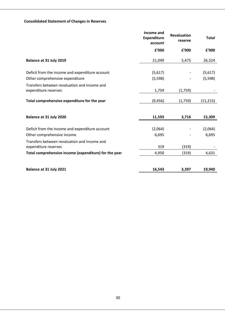## **Consolidated Statement of Changes in Reserves**

|                                                                      | Income and<br><b>Expenditure</b><br>account | <b>Revaluation</b><br>reserve | <b>Total</b> |
|----------------------------------------------------------------------|---------------------------------------------|-------------------------------|--------------|
|                                                                      | £'000                                       | £'000                         | £'000        |
| Balance at 31 July 2019                                              | 21,049                                      | 5,475                         | 26,524       |
| Deficit from the income and expenditure account                      | (5,617)                                     |                               | (5,617)      |
| Other comprehensive expenditure                                      | (5, 598)                                    |                               | (5, 598)     |
| Transfers between revaluation and income and<br>expenditure reserves | 1,759                                       | (1,759)                       |              |
| Total comprehensive expenditure for the year                         | (9, 456)                                    | (1,759)                       | (11, 215)    |
| Balance at 31 July 2020                                              | 11,593                                      | 3,716                         | 15,309       |
|                                                                      |                                             |                               |              |
| Deficit from the income and expenditure account                      | (2,064)                                     |                               | (2,064)      |
| Other comprehensive income                                           | 6,695                                       |                               | 6,695        |
| Transfers between revaluation and income and<br>expenditure reserves | 319                                         | (319)                         |              |
|                                                                      | 4,950                                       |                               | 4,631        |
| Total comprehensive income (expenditure) for the year                |                                             | (319)                         |              |
| Balance at 31 July 2021                                              | 16,543                                      | 3,397                         | 19,940       |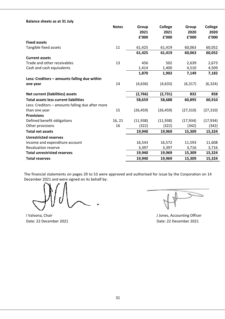| <b>Balance sheets as at 31 July</b>              |              |           |                |           |           |
|--------------------------------------------------|--------------|-----------|----------------|-----------|-----------|
|                                                  | <b>Notes</b> | Group     | <b>College</b> | Group     | College   |
|                                                  |              | 2021      | 2021           | 2020      | 2020      |
|                                                  |              | £'000     | £'000          | £'000     | £'000     |
| <b>Fixed assets</b>                              |              |           |                |           |           |
| Tangible fixed assets                            | 11           | 61,425    | 61,419         | 60,063    | 60,052    |
|                                                  |              | 61,425    | 61,419         | 60,063    | 60,052    |
| <b>Current assets</b>                            |              |           |                |           |           |
| Trade and other receivables                      | 13           | 456       | 502            | 2,639     | 2,673     |
| Cash and cash equivalents                        |              | 1,414     | 1,400          | 4,510     | 4,509     |
|                                                  |              | 1,870     | 1,902          | 7,149     | 7,182     |
| Less: Creditors - amounts falling due within     |              |           |                |           |           |
| one year                                         | 14           | (4,636)   | (4,633)        | (6, 317)  | (6, 324)  |
|                                                  |              |           |                |           |           |
| <b>Net current (liabilities) assets</b>          |              | (2,766)   | (2,731)        | 832       | 858       |
| <b>Total assets less current liabilities</b>     |              | 58,659    | 58,688         | 60,895    | 60,910    |
| Less: Creditors - amounts falling due after more |              |           |                |           |           |
| than one year                                    | 15           | (26, 459) | (26, 459)      | (27, 310) | (27, 310) |
| <b>Provisions</b>                                |              |           |                |           |           |
| Defined benefit obligations                      | 16, 21       | (11,938)  | (11,938)       | (17, 934) | (17, 934) |
| Other provisions                                 | 16           | (322)     | (322)          | (342)     | (342)     |
| <b>Total net assets</b>                          |              | 19,940    | 19,969         | 15,309    | 15,324    |
| <b>Unrestricted reserves</b>                     |              |           |                |           |           |
| Income and expenditure account                   |              | 16,543    | 16,572         | 11,593    | 11,608    |
| <b>Revaluation reserve</b>                       |              | 3,397     | 3,397          | 3,716     | 3,716     |
| <b>Total unrestricted reserves</b>               |              | 19,940    | 19,969         | 15,309    | 15,324    |
| <b>Total reserves</b>                            |              | 19,940    | 19,969         | 15,309    | 15,324    |

The financial statements on pages 29 to 53 were approved and authorised for issue by the Corporation on 14 December 2021 and were signed on its behalf by:

I Valvona, Chair **J** Jones, Accounting Officer Date: 22 December 2021 **Date: 22 December 2021**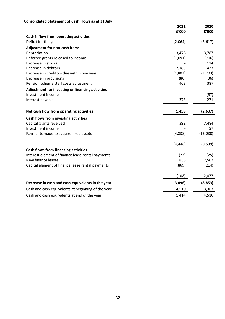| <b>Consolidated Statement of Cash Flows as at 31 July</b>     |          |          |
|---------------------------------------------------------------|----------|----------|
|                                                               | 2021     | 2020     |
|                                                               | £'000    | £'000    |
| Cash inflow from operating activities<br>Deficit for the year |          |          |
|                                                               | (2,064)  | (5,617)  |
| Adjustment for non-cash items                                 |          |          |
| Depreciation                                                  | 3,476    | 3,787    |
| Deferred grants released to income                            | (1,091)  | (706)    |
| Decrease in stocks                                            |          | 114      |
| Decrease in debtors                                           | 2,183    | 423      |
| Decrease in creditors due within one year                     | (1,802)  | (1,203)  |
| Decrease in provisions                                        | (80)     | (36)     |
| Pension scheme staff costs adjustment                         | 463      | 387      |
| Adjustment for investing or financing activities              |          |          |
| Investment income                                             |          | (57)     |
| Interest payable                                              | 373      | 271      |
| Net cash flow from operating activities                       | 1,458    | (2,637)  |
| Cash flows from investing activities                          |          |          |
| Capital grants received                                       | 392      | 7,484    |
| Investment income                                             |          | 57       |
| Payments made to acquire fixed assets                         | (4,838)  | (16,080) |
|                                                               | (4, 446) | (8,539)  |
| <b>Cash flows from financing activities</b>                   |          |          |
| Interest element of finance lease rental payments             | (77)     | (25)     |
| New finance leases                                            | 838      | 2,562    |
| Capital element of finance lease rental payments              | (869)    | (214)    |
|                                                               | (108)    | 2,077    |
| Decrease in cash and cash equivalents in the year             | (3,096)  | (8,853)  |
| Cash and cash equivalents at beginning of the year            | 4,510    | 13,363   |
| Cash and cash equivalents at end of the year                  | 1,414    | 4,510    |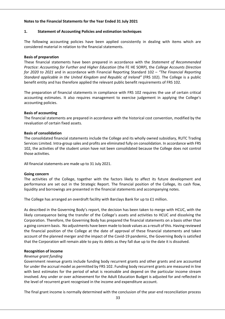## **Notes to the Financial Statements for the Year Ended 31 July 2021**

## **1. Statement of Accounting Policies and estimation techniques**

The following accounting policies have been applied consistently in dealing with items which are considered material in relation to the financial statements.

## **Basis of preparation**

These financial statements have been prepared in accordance with the *Statement of Recommended Practice: Accounting for Further and Higher Education* (the FE HE SORP), the *College Accounts Direction for 2020 to 2021* and in accordance with Financial Reporting Standard 102 – *"The Financial Reporting Standard applicable in the United Kingdom and Republic of Ireland"* (FRS 102). The College is a public benefit entity and has therefore applied the relevant public benefit requirements of FRS 102.

The preparation of financial statements in compliance with FRS 102 requires the use of certain critical accounting estimates. It also requires management to exercise judgement in applying the College's accounting policies.

#### **Basis of accounting**

The financial statements are prepared in accordance with the historical cost convention, modified by the revaluation of certain fixed assets.

#### **Basis of consolidation**

The consolidated financial statements include the College and its wholly owned subsidiary, RUTC Trading Services Limited. Intra‐group sales and profits are eliminated fully on consolidation. In accordance with FRS 102, the activities of the student union have not been consolidated because the College does not control those activities.

All financial statements are made up to 31 July 2021.

#### **Going concern**

The activities of the College, together with the factors likely to affect its future development and performance are set out in the Strategic Report. The financial position of the College, its cash flow, liquidity and borrowings are presented in the financial statements and accompanying notes.

The College has arranged an overdraft facility with Barclays Bank for up to £1 million.

As described in the Governing Body's report, the decision has been taken to merge with HCUC, with the likely consequence being the transfer of the College's assets and activities to HCUC and dissolving the Corporation. Therefore, the Governing Body has prepared the financial statements on a basis other than a going concern basis. No adjustments have been made to book values as a result of this. Having reviewed the financial position of the College at the date of approval of these financial statements and taken account of the planned merger and the impact of the Covid‐19 pandemic, the Governing Body is satisfied that the Corporation will remain able to pay its debts as they fall due up to the date it is dissolved.

## **Recognition of income**

## *Revenue grant funding*

Government revenue grants include funding body recurrent grants and other grants and are accounted for under the accrual model as permitted by FRS 102. Funding body recurrent grants are measured in line with best estimates for the period of what is receivable and depend on the particular income stream involved. Any under or over achievement for the Adult Education Budget is adjusted for and reflected in the level of recurrent grant recognised in the income and expenditure account.

The final grant income is normally determined with the conclusion of the year-end reconciliation process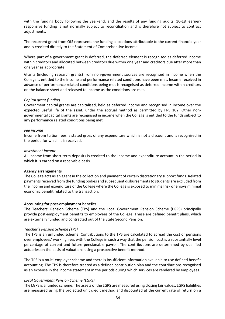with the funding body following the year-end, and the results of any funding audits. 16-18 learnerresponsive funding is not normally subject to reconciliation and is therefore not subject to contract adjustments.

The recurrent grant from OfS represents the funding allocations attributable to the current financial year and is credited directly to the Statement of Comprehensive Income.

Where part of a government grant is deferred, the deferred element is recognised as deferred income within creditors and allocated between creditors due within one year and creditors due after more than one year as appropriate.

Grants (including research grants) from non‐government sources are recognised in income when the College is entitled to the income and performance related conditions have been met. Income received in advance of performance related conditions being met is recognised as deferred income within creditors on the balance sheet and released to income as the conditions are met.

## *Capital grant funding*

Government capital grants are capitalised, held as deferred income and recognised in income over the expected useful life of the asset, under the accrual method as permitted by FRS 102. Other nongovernmental capital grants are recognised in income when the College is entitled to the funds subject to any performance related conditions being met.

## *Fee income*

Income from tuition fees is stated gross of any expenditure which is not a discount and is recognised in the period for which it is received.

#### *Investment income*

All income from short‐term deposits is credited to the income and expenditure account in the period in which it is earned on a receivable basis.

## **Agency arrangements**

The College acts as an agent in the collection and payment of certain discretionary support funds. Related payments received from the funding bodies and subsequent disbursements to students are excluded from the income and expenditure of the College where the College is exposed to minimal risk or enjoys minimal economic benefit related to the transaction.

## **Accounting for post‐employment benefits**

The Teachers' Pension Scheme (TPS) and the Local Government Pension Scheme (LGPS) principally provide post‐employment benefits to employees of the College. These are defined benefit plans, which are externally funded and contracted out of the State Second Pension.

## *Teacher's Pension Scheme (TPS)*

The TPS is an unfunded scheme. Contributions to the TPS are calculated to spread the cost of pensions over employees' working lives with the College in such a way that the pension cost is a substantially level percentage of current and future pensionable payroll. The contributions are determined by qualified actuaries on the basis of valuations using a prospective benefit method.

The TPS is a multi‐employer scheme and there is insufficient information available to use defined benefit accounting. The TPS is therefore treated as a defined contribution plan and the contributions recognised as an expense in the income statement in the periods during which services are rendered by employees.

## *Local Government Pension Scheme (LGPS)*

The LGPS is a funded scheme. The assets of the LGPS are measured using closing fair values. LGPS liabilities are measured using the projected unit credit method and discounted at the current rate of return on a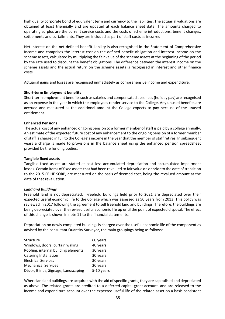high quality corporate bond of equivalent term and currency to the liabilities. The actuarial valuations are obtained at least triennially and are updated at each balance sheet date. The amounts charged to operating surplus are the current service costs and the costs of scheme introductions, benefit changes, settlements and curtailments. They are included as part of staff costs as incurred.

Net interest on the net defined benefit liability is also recognised in the Statement of Comprehensive Income and comprises the interest cost on the defined benefit obligation and interest income on the scheme assets, calculated by multiplying the fair value of the scheme assets at the beginning of the period by the rate used to discount the benefit obligations. The difference between the interest income on the scheme assets and the actual return on the scheme assets is recognised in interest and other finance costs.

Actuarial gains and losses are recognised immediately as comprehensive income and expenditure.

## **Short‐term Employment benefits**

Short-term employment benefits such as salaries and compensated absences (holiday pay) are recognised as an expense in the year in which the employees render service to the College. Any unused benefits are accrued and measured as the additional amount the College expects to pay because of the unused entitlement.

## **Enhanced Pensions**

The actual cost of any enhanced ongoing pension to a former member of staff is paid by a college annually. An estimate of the expected future cost of any enhancement to the ongoing pension of a former member of staff is charged in full to the College's income in the year that the member of staff retires. In subsequent years a charge is made to provisions in the balance sheet using the enhanced pension spreadsheet provided by the funding bodies.

## **Tangible fixed assets**

Tangible fixed assets are stated at cost less accumulated depreciation and accumulated impairment losses. Certain items of fixed assets that had been revalued to fair value on or prior to the date of transition to the 2015 FE HE SORP, are measured on the basis of deemed cost, being the revalued amount at the date of that revaluation.

## *Land and Buildings*

Freehold land is not depreciated. Freehold buildings held prior to 2021 are depreciated over their expected useful economic life to the College which was assessed as 50 years from 2013. This policy was reviewed in 2017 following the agreement to sell freehold land and buildings. Therefore, the buildings are being depreciated over the revised useful economic life up until the point of expected disposal. The effect of this change is shown in note 11 to the financial statements.

Depreciation on newly completed buildings is charged over the useful economic life of the component as advised by the consultant Quantity Surveyor, the main groupings being as follows:

| Structure                           | 60 years   |
|-------------------------------------|------------|
| Windows, doors, curtain walling     | 40 years   |
| Roofing, internal building elements | 30 years   |
| <b>Catering Installation</b>        | 30 years   |
| <b>Electrical Services</b>          | 30 years   |
| <b>Mechanical Services</b>          | 20 years   |
| Décor, Blinds, Signage, Landscaping | 5-10 years |

Where land and buildings are acquired with the aid of specific grants, they are capitalised and depreciated as above. The related grants are credited to a deferred capital grant account, and are released to the income and expenditure account over the expected useful life of the related asset on a basis consistent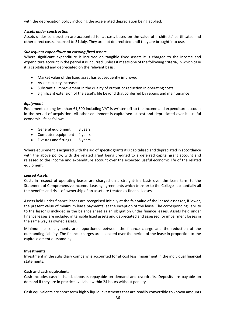with the depreciation policy including the accelerated depreciation being applied.

#### *Assets under construction*

Assets under construction are accounted for at cost, based on the value of architects' certificates and other direct costs, incurred to 31 July. They are not depreciated until they are brought into use.

#### *Subsequent expenditure on existing fixed assets*

Where significant expenditure is incurred on tangible fixed assets it is charged to the income and expenditure account in the period it is incurred, unless it meets one of the following criteria, in which case it is capitalised and depreciated on the relevant basis:

- Market value of the fixed asset has subsequently improved
- Asset capacity increases
- Substantial improvement in the quality of output or reduction in operating costs
- Significant extension of the asset's life beyond that conferred by repairs and maintenance

## *Equipment*

Equipment costing less than £1,500 including VAT is written off to the income and expenditure account in the period of acquisition. All other equipment is capitalised at cost and depreciated over its useful economic life as follows:

- General equipment 3 years
- Computer equipment 4 years
- Fixtures and fittings 5 years

Where equipment is acquired with the aid of specific grants it is capitalised and depreciated in accordance with the above policy, with the related grant being credited to a deferred capital grant account and released to the income and expenditure account over the expected useful economic life of the related equipment.

## *Leased Assets*

Costs in respect of operating leases are charged on a straight-line basis over the lease term to the Statement of Comprehensive Income. Leasing agreements which transfer to the College substantially all the benefits and risks of ownership of an asset are treated as finance leases.

Assets held under finance leases are recognised initially at the fair value of the leased asset (or, if lower, the present value of minimum lease payments) at the inception of the lease. The corresponding liability to the lessor is included in the balance sheet as an obligation under finance leases. Assets held under finance leases are included in tangible fixed assets and depreciated and assessed for impairment losses in the same way as owned assets.

Minimum lease payments are apportioned between the finance charge and the reduction of the outstanding liability. The finance charges are allocated over the period of the lease in proportion to the capital element outstanding.

## **Investments**

Investment in the subsidiary company is accounted for at cost less impairment in the individual financial statements.

## **Cash and cash equivalents**

Cash includes cash in hand, deposits repayable on demand and overdrafts. Deposits are payable on demand if they are in practice available within 24 hours without penalty.

Cash equivalents are short term highly liquid investments that are readily convertible to known amounts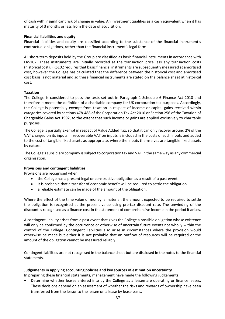of cash with insignificant risk of change in value. An investment qualifies as a cash equivalent when it has maturity of 3 months or less from the date of acquisition.

## **Financial liabilities and equity**

Financial liabilities and equity are classified according to the substance of the financial instrument's contractual obligations, rather than the financial instrument's legal form.

All short‐term deposits held by the Group are classified as basic financial instruments in accordance with FRS102. These instruments are initially recorded at the transaction price less any transaction costs (historical cost). FRS102 requires that basic financial instruments are subsequently measured at amortised cost, however the College has calculated that the difference between the historical cost and amortised cost basis is not material and so these financial instruments are stated on the balance sheet at historical cost.

## **Taxation**

The College is considered to pass the tests set out in Paragraph 1 Schedule 6 Finance Act 2010 and therefore it meets the definition of a charitable company for UK corporation tax purposes. Accordingly, the College is potentially exempt from taxation in respect of income or capital gains received within categories covered by sections 478‐488 of the Corporation Tax Act 2010 or Section 256 of the Taxation of Chargeable Gains Act 1992, to the extent that such income or gains are applied exclusively to charitable purposes.

The College is partially exempt in respect of Value Added Tax, so that it can only recover around 2% of the VAT charged on its inputs. Irrecoverable VAT on inputs is included in the costs of such inputs and added to the cost of tangible fixed assets as appropriate, where the inputs themselves are tangible fixed assets by nature.

The College's subsidiary company is subject to corporation tax and VAT in the same way as any commercial organisation.

## **Provisions and contingent liabilities**

Provisions are recognised when

- the College has a present legal or constructive obligation as a result of a past event
- it is probable that a transfer of economic benefit will be required to settle the obligation
- a reliable estimate can be made of the amount of the obligation.

Where the effect of the time value of money is material, the amount expected to be required to settle the obligation is recognised at the present value using pre-tax discount rate. The unwinding of the discount is recognised as a finance cost in the statement of comprehensive income in the period it arises.

A contingent liability arises from a past event that gives the College a possible obligation whose existence will only be confirmed by the occurrence or otherwise of uncertain future events not wholly within the control of the College. Contingent liabilities also arise in circumstances where the provision would otherwise be made but either it is not probable that an outflow of resources will be required or the amount of the obligation cannot be measured reliably.

Contingent liabilities are not recognised in the balance sheet but are disclosed in the notes to the financial statements.

## **Judgements in applying accounting policies and key sources of estimation uncertainty**

In preparing these financial statements, management have made the following judgements:

 Determine whether leases entered into by the College as a lessee are operating or finance leases. These decisions depend on an assessment of whether the risks and rewards of ownership have been transferred from the lessor to the lessee on a lease by lease basis.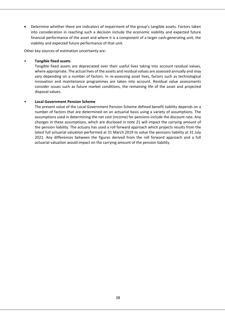Determine whether there are indicators of impairment of the group's tangible assets. Factors taken into consideration in reaching such a decision include the economic viability and expected future financial performance of the asset and where it is a component of a larger cash-generating unit, the viability and expected future performance of that unit.

Other key sources of estimation uncertainty are:

## • **Tangible fixed assets**

Tangible fixed assets are depreciated over their useful lives taking into account residual values, where appropriate. The actual lives of the assets and residual values are assessed annually and may vary depending on a number of factors. In re‐assessing asset lives, factors such as technological innovation and maintenance programmes are taken into account. Residual value assessments consider issues such as future market conditions, the remaining life of the asset and projected disposal values.

## • **Local Government Pension Scheme**

The present value of the Local Government Pension Scheme defined benefit liability depends on a number of factors that are determined on an actuarial basis using a variety of assumptions. The assumptions used in determining the net cost (income) for pensions include the discount rate. Any changes in these assumptions, which are disclosed in note 21 will impact the carrying amount of the pension liability. The actuary has used a roll forward approach which projects results from the latest full actuarial valuation performed at 31 March 2019 to value the pensions liability at 31 July 2021. Any differences between the figures derived from the roll forward approach and a full actuarial valuation would impact on the carrying amount of the pension liability.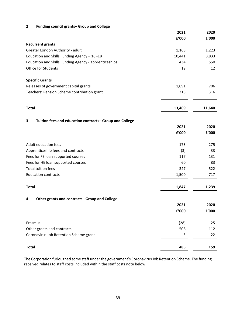## **2 Funding council grants– Group and College**

|                                                              | 2021   | 2020                   |
|--------------------------------------------------------------|--------|------------------------|
|                                                              | £'000  | ${\bf f}^{\prime}$ 000 |
| <b>Recurrent grants</b>                                      |        |                        |
| Greater London Authority - adult                             | 1,168  | 1,223                  |
| Education and Skills Funding Agency - 16 - 18                | 10,441 | 8,833                  |
| Education and Skills Funding Agency - apprenticeships        | 434    | 550                    |
| Office for Students                                          | 19     | 12                     |
| <b>Specific Grants</b>                                       |        |                        |
| Releases of government capital grants                        | 1,091  | 706                    |
| Teachers' Pension Scheme contribution grant                  | 316    | 316                    |
| <b>Total</b>                                                 | 13,469 | 11,640                 |
|                                                              |        |                        |
| Tuition fees and education contracts- Group and College<br>3 |        |                        |
|                                                              | 2021   | 2020                   |
|                                                              | £'000  | f'000                  |
| Adult education fees                                         | 173    | 275                    |
| Apprenticeship fees and contracts                            | (3)    | 33                     |
| Fees for FE loan supported courses                           | 117    | 131                    |
| Fees for HE loan supported courses                           | 60     | 83                     |
| <b>Total tuition fees</b>                                    | 347    | 522                    |
| <b>Education contracts</b>                                   | 1,500  | 717                    |
| <b>Total</b>                                                 | 1,847  | 1,239                  |
| Other grants and contracts- Group and College<br>4           |        |                        |
|                                                              | 2021   | 2020                   |
|                                                              | £'000  | £'000                  |
| Erasmus                                                      | (28)   | 25                     |
| Other grants and contracts                                   | 508    | 112                    |
| Coronavirus Job Retention Scheme grant                       | 5      | 22                     |
| <b>Total</b>                                                 | 485    | 159                    |

The Corporation furloughed some staff under the government's Coronavirus Job Retention Scheme. The funding received relates to staff costs included within the staff costs note below.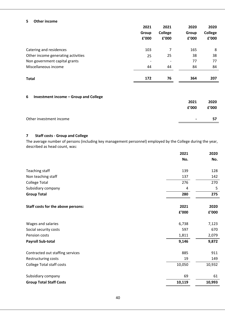#### **5 Other income**

|                                    | 2021                     | 2021                     | 2020  | 2020    |
|------------------------------------|--------------------------|--------------------------|-------|---------|
|                                    | Group                    | College                  | Group | College |
|                                    | £'000                    | £'000                    | £'000 | £'000   |
| Catering and residences            | 103                      | 7                        | 165   | 8       |
| Other income generating activities | 25                       | 25                       | 38    | 38      |
| Non government capital grants      | $\overline{\phantom{a}}$ | $\overline{\phantom{a}}$ | 77    | 77      |
| Miscellaneous income               | 44                       | 44                       | 84    | 84      |
| <b>Total</b>                       | 172                      | 76                       | 364   | 207     |
|                                    |                          |                          |       |         |

## **6 Investment income – Group and College**

|                         | 2021           | 2020  |
|-------------------------|----------------|-------|
|                         | f'000          | f'000 |
| Other investment income | $\blacksquare$ | 57    |
|                         |                |       |

## **7 Staff costs ‐ Group and College**

The average number of persons (including key management personnel) employed by the College during the year, described as head count, was:

|                                    | 2021   | 2020   |
|------------------------------------|--------|--------|
|                                    | No.    | No.    |
| Teaching staff                     | 139    | 128    |
| Non teaching staff                 | 137    | 142    |
| <b>College Total</b>               | 276    | 270    |
| Subsidiary company                 | 4      | 5      |
| <b>Group Total</b>                 | 280    | 275    |
| Staff costs for the above persons: | 2021   | 2020   |
|                                    | f'000  | f'000  |
| Wages and salaries                 | 6,738  | 7,123  |
| Social security costs              | 597    | 670    |
| Pension costs                      | 1,811  | 2,079  |
| <b>Payroll Sub-total</b>           | 9,146  | 9,872  |
| Contracted out staffing services   | 885    | 911    |
| Restructuring costs                | 19     | 149    |
| <b>College Total staff costs</b>   | 10,050 | 10,932 |
| Subsidiary company                 | 69     | 61     |
| <b>Group Total Staff Costs</b>     | 10,119 | 10,993 |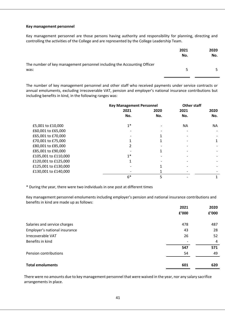#### **Key management personnel**

Key management personnel are those persons having authority and responsibility for planning, directing and controlling the activities of the College and are represented by the College Leadership Team.

|                                                                                 | 2021<br>No. | 2020<br>No. |
|---------------------------------------------------------------------------------|-------------|-------------|
| The number of key management personnel including the Accounting Officer<br>was: | 5.          | 5.          |

The number of key management personnel and other staff who received payments under service contracts or annual emoluments, excluding irrecoverable VAT, pension and employer's national insurance contributions but including benefits in kind, in the following ranges was:

|                      | <b>Key Management Personnel</b> |      | <b>Other staff</b> |      |
|----------------------|---------------------------------|------|--------------------|------|
|                      | 2021                            | 2020 | 2021               | 2020 |
|                      | No.                             | No.  | No.                | No.  |
| £5,001 to £10,000    | $1*$                            |      | NA.                | ΝA   |
| £60,001 to £65,000   |                                 |      |                    |      |
| £65,001 to £70,000   |                                 |      |                    |      |
| £70,001 to £75,000   |                                 |      |                    |      |
| £80,001 to £85,000   |                                 |      |                    |      |
| £85,001 to £90,000   |                                 |      |                    |      |
| £105,001 to £110,000 | $1*$                            |      |                    |      |
| £120,001 to £125,000 |                                 |      |                    |      |
| £125,001 to £130,000 |                                 |      |                    |      |
| £130,001 to £140,000 |                                 |      |                    |      |
|                      | $6*$                            |      |                    |      |

\* During the year, there were two individuals in one post at different times

Key management personnel emoluments including employer's pension and national insurance contributions and benefits in kind are made up as follows:

|                               | 2021  | 2020  |
|-------------------------------|-------|-------|
|                               | £'000 | £'000 |
| Salaries and service charges  | 478   | 487   |
| Employer's national insurance | 43    | 28    |
| Irrecoverable VAT             | 26    | 52    |
| Benefits in kind              |       | 4     |
|                               | 547   | 571   |
| Pension contributions         | 54    | 49    |
| <b>Total emoluments</b>       | 601   | 620   |

There were no amounts due to key management personnel that were waived in the year, nor any salary sacrifice arrangements in place.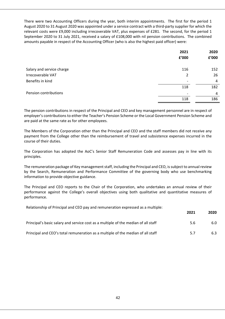There were two Accounting Officers during the year, both interim appointments. The first for the period 1 August 2020 to 31 August 2020 was appointed under a service contract with a third‐party supplier for which the relevant costs were £9,000 including irrecoverable VAT, plus expenses of £281. The second, for the period 1 September 2020 to 31 July 2021, received a salary of £108,000 with nil pension contributions. The combined amounts payable in respect of the Accounting Officer (who is also the highest paid officer) were:

|                           | 2021<br>£'000 | 2020<br>£'000 |
|---------------------------|---------------|---------------|
| Salary and service charge | 116           | 152           |
| Irrecoverable VAT         | 2             | 26            |
| Benefits in kind          |               | 4             |
|                           | 118           | 182           |
| Pension contributions     |               | 4             |
|                           | 118           | 186           |
|                           |               |               |

The pension contributions in respect of the Principal and CEO and key management personnel are in respect of employer's contributions to either the Teacher's Pension Scheme or the Local Government Pension Scheme and are paid at the same rate as for other employees.

The Members of the Corporation other than the Principal and CEO and the staff members did not receive any payment from the College other than the reimbursement of travel and subsistence expenses incurred in the course of their duties.

The Corporation has adopted the AoC's Senior Staff Remuneration Code and assesses pay in line with its principles.

The remuneration package of Key management staff, including the Principal and CEO, is subject to annual review by the Search, Remuneration and Performance Committee of the governing body who use benchmarking information to provide objective guidance.

The Principal and CEO reports to the Chair of the Corporation, who undertakes an annual review of their performance against the College's overall objectives using both qualitative and quantitative measures of performance.

Relationship of Principal and CEO pay and remuneration expressed as a multiple:

|                                                                                    | ZUZI | ZUZU |
|------------------------------------------------------------------------------------|------|------|
| Principal's basic salary and service cost as a multiple of the median of all staff | 5.6  | 6.0  |
| Principal and CEO's total remuneration as a multiple of the median of all staff    | 57   | 6.3  |

**2021 2020**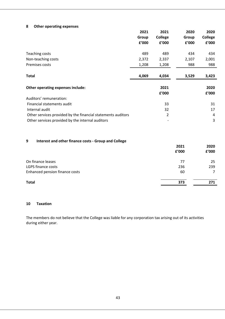## **8 Other operating expenses**

|                                                              | 2021  | 2021           | 2020  | 2020          |
|--------------------------------------------------------------|-------|----------------|-------|---------------|
|                                                              | Group | <b>College</b> | Group | College       |
|                                                              | f'000 | £'000          | f'000 | f'000         |
| Teaching costs                                               | 489   | 489            | 434   | 434           |
| Non-teaching costs                                           | 2,372 | 2,337          | 2,107 | 2,001         |
| Premises costs                                               | 1,208 | 1,208          | 988   | 988           |
| Total                                                        | 4,069 | 4,034          | 3,529 | 3,423         |
| Other operating expenses include:                            |       | 2021<br>£'000  |       | 2020<br>f'000 |
| Auditors' remuneration:                                      |       |                |       |               |
| Financial statements audit                                   |       | 33             |       | 31            |
| Internal audit                                               |       | 32             |       | 17            |
| Other services provided by the financial statements auditors |       | 2              |       | 4             |
| Other services provided by the internal auditors             |       |                |       | 3             |

## **9 Interest and other finance costs ‐ Group and College**

|                                | 2021<br>f'000 | 2020<br>£'000 |
|--------------------------------|---------------|---------------|
| On finance leases              | 77            | 25            |
| LGPS finance costs             | 236           | 239           |
| Enhanced pension finance costs | 60            |               |
| <b>Total</b>                   | 373           | 271           |

## **10 Taxation**

The members do not believe that the College was liable for any corporation tax arising out of its activities during either year.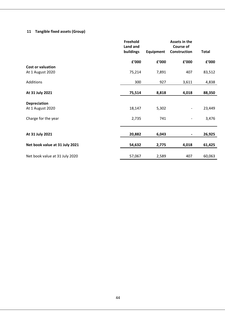## **11 Tangible fixed assets (Group)**

| Freehold<br>Land and<br>buildings | Equipment        | Assets in the<br><b>Course of</b><br>Construction | <b>Total</b> |
|-----------------------------------|------------------|---------------------------------------------------|--------------|
| f'000                             | £'000            | f'000                                             | £'000        |
|                                   |                  |                                                   |              |
| 75,214                            | 7,891            | 407                                               | 83,512       |
| 300                               | 927              | 3,611                                             | 4,838        |
| 75,514                            | 8,818            | 4,018                                             | 88,350       |
|                                   |                  |                                                   |              |
| 18,147                            | 5,302            |                                                   | 23,449       |
| 2,735                             | 741              |                                                   | 3,476        |
|                                   |                  |                                                   |              |
|                                   |                  |                                                   | 26,925       |
| 54,632                            | 2,775            | 4,018                                             | 61,425       |
|                                   |                  |                                                   | 60,063       |
|                                   | 20,882<br>57,067 | 6,043<br>2,589                                    | 407          |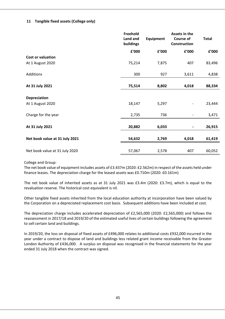## **11 Tangible fixed assets (College only)**

| f'000  |
|--------|
|        |
|        |
| 83,496 |
| 4,838  |
| 88,334 |
|        |
| 23,444 |
| 3,471  |
| 26,915 |
| 61,419 |
|        |
|        |

## College and Group:

The net book value of equipment includes assets of £3.437m (2020: £2.562m) in respect of the assets held under finance leases. The depreciation charge for the leased assets was £0.710m (2020: £0.161m)

The net book value of inherited assets as at 31 July 2021 was £3.4m (2020: £3.7m), which is equal to the revaluation reserve. The historical cost equivalent is nil.

Other tangible fixed assets inherited from the local education authority at incorporation have been valued by the Corporation on a depreciated replacement cost basis. Subsequent additions have been included at cost.

The depreciation charge includes accelerated depreciation of £2,565,000 (2020: £2,565,000) and follows the reassessment in 2017/18 and 2019/20 of the estimated useful lives of certain buildings following the agreement to sell certain land and buildings.

In 2019/20, the loss on disposal of fixed assets of £496,000 relates to additional costs £932,000 incurred in the year under a contract to dispose of land and buildings less related grant income receivable from the Greater London Authority of £436,000. A surplus on disposal was recognised in the financial statements for the year ended 31 July 2018 when the contract was signed.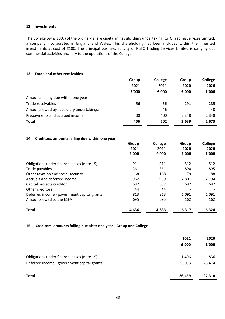#### **12 Investments**

 The College owns 100% of the ordinary share capital in its subsidiary undertaking RuTC Trading Services Limited, a company incorporated in England and Wales. This shareholding has been included within the inherited investments at cost of £100. The principal business activity of RuTC Trading Services Limited is carrying out commercial activities ancillary to the operations of the College.

## **13 Trade and other receivables**

| ᅩコ<br>TI QUE QIIU ULIIEI TELEIVADIES     |       |         |       |                |
|------------------------------------------|-------|---------|-------|----------------|
|                                          | Group | College | Group | <b>College</b> |
|                                          | 2021  | 2021    | 2020  | 2020           |
|                                          | £'000 | f'000   | f'000 | £'000          |
| Amounts falling due within one year:     |       |         |       |                |
| Trade receivables                        | 56    | 56      | 291   | 285            |
| Amounts owed by subsidiary undertakings: | ۰     | 46      |       | 40             |
| Prepayments and accrued income           | 400   | 400     | 2,348 | 2,348          |
| <b>Total</b>                             | 456   | 502     | 2,639 | 2,673          |
|                                          |       |         |       |                |

## **14 Creditors: amounts falling due within one year**

|                                             | Group<br>2021<br>£'000 | <b>College</b><br>2021<br>£'000 | Group<br>2020<br>f'000 | College<br>2020<br>£'000 |
|---------------------------------------------|------------------------|---------------------------------|------------------------|--------------------------|
| Obligations under finance leases (note 19)  | 911                    | 911                             | 512                    | 512                      |
| Trade payables                              | 361                    | 361                             | 890                    | 895                      |
| Other taxation and social security          | 168                    | 168                             | 179                    | 188                      |
| Accruals and deferred income                | 962                    | 959                             | 2,801                  | 2,794                    |
| Capital projects creditor                   | 682                    | 682                             | 682                    | 682                      |
| Other creditors                             | 44                     | 44                              |                        |                          |
| Deferred income - government capital grants | 813                    | 813                             | 1,091                  | 1,091                    |
| Amounts owed to the ESFA                    | 695                    | 695                             | 162                    | 162                      |
| <b>Total</b>                                | 4,636                  | 4,633                           | 6,317                  | 6,324                    |

## **15 Creditors: amounts falling due after one year ‐ Group and College**

|                                             | 2021<br>£'000 | 2020<br>f'000 |
|---------------------------------------------|---------------|---------------|
| Obligations under finance leases (note 19)  | 1,406         | 1,836         |
| Deferred income - government capital grants | 25,053        | 25,474        |
| <b>Total</b>                                | 26,459        | 27,310        |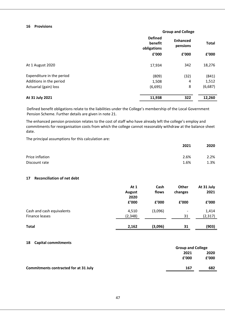# **16 Provisions**

| Ιb<br><b>Provisions</b>   |                                          |                             |              |
|---------------------------|------------------------------------------|-----------------------------|--------------|
|                           |                                          | <b>Group and College</b>    |              |
|                           | <b>Defined</b><br>benefit<br>obligations | <b>Enhanced</b><br>pensions | <b>Total</b> |
|                           | £'000                                    | £'000                       | £'000        |
| At 1 August 2020          | 17,934                                   | 342                         | 18,276       |
| Expenditure in the period | (809)                                    | (32)                        | (841)        |
| Additions in the period   | 1,508                                    | 4                           | 1,512        |
| Actuarial (gain) loss     | (6,695)                                  | 8                           | (6,687)      |
| At 31 July 2021           | 11,938                                   | 322                         | 12,260       |

Defined benefit obligations relate to the liabilities under the College's membership of the Local Government Pension Scheme. Further details are given in note 21.

The enhanced pension provision relates to the cost of staff who have already left the college's employ and commitments for reorganisation costs from which the college cannot reasonably withdraw at the balance sheet date.

The principal assumptions for this calculation are:

|                 | 2021 | 2020 |
|-----------------|------|------|
| Price inflation | 2.6% | 2.2% |
| Discount rate   | 1.6% | 1.3% |

#### **17 Reconciliation of net debt**

| 17<br>Reconciliation of het debt |               |         |                          |            |
|----------------------------------|---------------|---------|--------------------------|------------|
|                                  | At 1          | Cash    | <b>Other</b>             | At 31 July |
|                                  | <b>August</b> | flows   | changes                  | 2021       |
|                                  | 2020          |         |                          |            |
|                                  | f'000         | f'000   | £'000                    | f'000      |
| Cash and cash equivalents        | 4,510         | (3,096) | $\overline{\phantom{a}}$ | 1,414      |
| Finance leases                   | (2, 348)      |         | 31                       | (2, 317)   |
|                                  |               |         |                          |            |
| <b>Total</b>                     | 2,162         | (3,096) | 31                       | (903)      |

## **18 Capital commitments**

|                                              | <b>Group and College</b> |       |
|----------------------------------------------|--------------------------|-------|
|                                              | 2021                     | 2020  |
|                                              | f'000                    | f'000 |
| <b>Commitments contracted for at 31 July</b> | 167                      | 682   |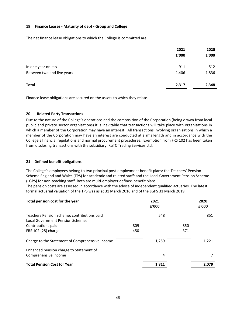## **19 Finance Leases ‐ Maturity of debt ‐ Group and College**

The net finance lease obligations to which the College is committed are:

|                            | 2021<br>f'000 | 2020<br>£'000 |
|----------------------------|---------------|---------------|
| In one year or less        | 911           | 512           |
| Between two and five years | 1,406         | 1,836         |
| <b>Total</b>               | 2,317         | 2,348         |

Finance lease obligations are secured on the assets to which they relate.

## **20 Related Party Transactions**

Due to the nature of the College's operations and the composition of the Corporation (being drawn from local public and private sector organisations) it is inevitable that transactions will take place with organisations in which a member of the Corporation may have an interest. All transactions involving organisations in which a member of the Corporation may have an interest are conducted at arm's length and in accordance with the College's financial regulations and normal procurement procedures. Exemption from FRS 102 has been taken from disclosing transactions with the subsidiary, RuTC Trading Services Ltd.

## **21 Defined benefit obligations**

The College's employees belong to two principal post-employment benefit plans: the Teachers' Pension Scheme England and Wales (TPS) for academic and related staff; and the Local Government Pension Scheme (LGPS) for non‐teaching staff**.** Both are multi‐employer defined‐benefit plans.

The pension costs are assessed in accordance with the advice of independent qualified actuaries. The latest formal actuarial valuation of the TPS was as at 31 March 2016 and of the LGPS 31 March 2019.

| Total pension cost for the year                 |     | 2021<br>£'000 |     | 2020<br>£'000 |
|-------------------------------------------------|-----|---------------|-----|---------------|
| Teachers Pension Scheme: contributions paid     |     | 548           |     | 851           |
| Local Government Pension Scheme:                |     |               |     |               |
| Contributions paid                              | 809 |               | 850 |               |
| FRS 102 (28) charge                             | 450 |               | 371 |               |
| Charge to the Statement of Comprehensive Income |     | 1,259         |     | 1,221         |
| Enhanced pension charge to Statement of         |     |               |     |               |
| Comprehensive Income                            |     | 4             |     | 7             |
| <b>Total Pension Cost for Year</b>              |     | 1,811         |     | 2,079         |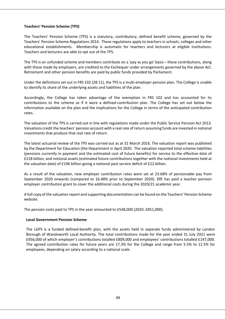## **Teachers' Pension Scheme (TPS)**

The Teachers' Pension Scheme (TPS) is a statutory, contributory, defined benefit scheme, governed by the Teachers' Pension Scheme Regulations 2014. These regulations apply to teachers in schools, colleges and other educational establishments. Membership is automatic for teachers and lecturers at eligible institutions. Teachers and lecturers are able to opt out of the TPS.

The TPS is an unfunded scheme and members contribute on a 'pay as you go' basis – these contributions, along with those made by employers, are credited to the Exchequer under arrangements governed by the above Act. Retirement and other pension benefits are paid by public funds provided by Parliament.

Under the definitions set out in FRS 102 (28.11), the TPS is a multi‐employer pension plan. The College is unable to identify its share of the underlying assets and liabilities of the plan.

Accordingly, the College has taken advantage of the exemption in FRS 102 and has accounted for its contributions to the scheme as if it were a defined‐contribution plan. The College has set out below the information available on the plan and the implications for the College in terms of the anticipated contribution rates.

The valuation of the TPS is carried out in line with regulations made under the Public Service Pension Act 2013. Valuations credit the teachers' pension account with a real rate of return assuming funds are invested in notional investments that produce that real rate of return.

The latest actuarial review of the TPS was carried out as at 31 March 2016. The valuation report was published by the Department for Education (the Department in April 2020. The valuation reported total scheme liabilities (pensions currently in payment and the estimated cost of future benefits) for service to the effective date of £218 billion, and notional assets (estimated future contributions together with the notional investments held at the valuation date) of £196 billion giving a notional past service deficit of £22 billion.

As a result of the valuation, new employer contribution rates were set at 23.68% of pensionable pay from September 2020 onwards (compared to 16.48% prior to September 2020). DfE has paid a teacher pension employer contribution grant to cover the additional costs during the 2020/21 academic year.

A full copy of the valuation report and supporting documentation can be found on the Teachers' Pension Scheme website.

The pension costs paid to TPS in the year amounted to £548,000 (2020: £851,000).

## **Local Government Pension Scheme**

The LGPS is a funded defined-benefit plan, with the assets held in separate funds administered by London Borough of Wandsworth Local Authority. The total contributions made for the year ended 31 July 2021 were £956,000 of which employer's contributions totalled £809,000 and employees' contributions totalled £147,000. The agreed contribution rates for future years are 17.3% for the College and range from 5.5% to 12.5% for employees, depending on salary according to a national scale.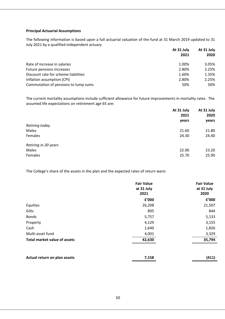#### **Principal Actuarial Assumptions**

The following information is based upon a full actuarial valuation of the fund at 31 March 2019 updated to 31 July 2021 by a qualified independent actuary

| July 2021 by a qualified independent actuary |            |            |
|----------------------------------------------|------------|------------|
|                                              | At 31 July | At 31 July |
|                                              | 2021       | 2020       |
| Rate of increase in salaries                 | 1.00%      | 3.05%      |
| Future pensions increases                    | 2.80%      | 2.25%      |
| Discount rate for scheme liabilities         | 1.60%      | 1.35%      |
| Inflation assumption (CPI)                   | 2.80%      | 2.25%      |
| Commutation of pensions to lump sums         | 50%        | 50%        |
|                                              |            |            |

The current mortality assumptions include sufficient allowance for future improvements in mortality rates. The assumed life expectations on retirement age 65 are:

|                      | At 31 July | At 31 July<br>2020<br>years |
|----------------------|------------|-----------------------------|
|                      | 2021       |                             |
|                      | years      |                             |
| Retiring today       |            |                             |
| Males                | 21.60      | 21.80                       |
| Females              | 24.30      | 24.40                       |
| Retiring in 20 years |            |                             |
| Males                | 22.90      | 23.20                       |
| Females              | 25.70      | 25.90                       |

The College's share of the assets in the plan and the expected rates of return were:

|                                     | <b>Fair Value</b><br>at 31 July | <b>Fair Value</b><br>at 31 July |
|-------------------------------------|---------------------------------|---------------------------------|
|                                     | 2021                            | 2020                            |
|                                     | £'000                           | £'000                           |
| Equities                            | 26,208                          | 21,507                          |
| Gilts                               | 895                             | 844                             |
| <b>Bonds</b>                        | 5,757                           | 5,133                           |
| Property                            | 4,129                           | 3,155                           |
| Cash                                | 1,640                           | 1,826                           |
| Multi-asset fund                    | 4,001                           | 3,329                           |
| <b>Total market value of assets</b> | 42,630                          | 35,794                          |
|                                     |                                 |                                 |

| Actual return on plan assets | 7,158 | (411) |
|------------------------------|-------|-------|
|                              |       |       |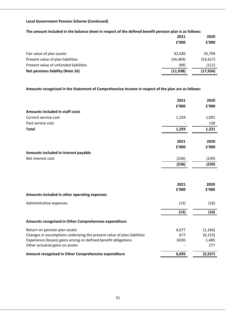## **Local Government Pension Scheme (Continued)**

## The amount included in the balance sheet in respect of the defined benefit pension plan is as follows:

|                                         | 2021      | 2020      |
|-----------------------------------------|-----------|-----------|
|                                         | f'000     | f'000     |
| Fair value of plan assets               | 42,630    | 35,794    |
| Present value of plan liabilities       | (54, 469) | (53, 617) |
| Present value of unfunded liabilities   | (99)      | (111)     |
| <b>Net pensions liability (Note 16)</b> | (11, 938) | (17, 934) |

#### **Amounts recognised in the Statement of Comprehensive Income in respect of the plan are as follows:**

|                                                                         | 2021  | 2020     |
|-------------------------------------------------------------------------|-------|----------|
|                                                                         | £'000 | f'000    |
| Amounts included in staff costs                                         |       |          |
| Current service cost                                                    | 1,259 | 1,091    |
| Past service cost                                                       |       | 130      |
| <b>Total</b>                                                            | 1,259 | 1,221    |
|                                                                         |       |          |
|                                                                         | 2021  | 2020     |
|                                                                         | £'000 | f'000    |
| Amounts included in interest payable                                    |       |          |
| Net interest cost                                                       | (236) | (239)    |
|                                                                         | (236) | (239)    |
|                                                                         |       |          |
|                                                                         | 2021  | 2020     |
|                                                                         | £'000 | f'000    |
| Amounts included in other operating expenses                            |       |          |
| Administrative expenses                                                 | (13)  | (16)     |
|                                                                         | (13)  | (16)     |
| Amounts recognised in Other Comprehensive expenditure                   |       |          |
| Return on pension plan assets                                           | 6,677 | (1, 166) |
| Changes in assumptions underlying the present value of plan liabilities | 677   | (6, 153) |
| Experience (losses) gains arising on defined benefit obligations        | (659) | 1,485    |
| Other actuarial gains on assets                                         |       | 277      |
| Amount recognised in Other Comprehensive expenditure                    | 6,695 | (5, 557) |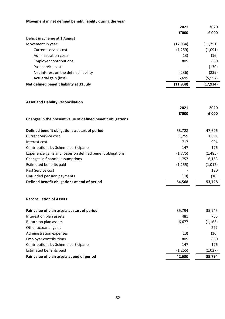## **Movement in net defined benefit liability during the year**

|                                          | 2021      | 2020     |
|------------------------------------------|-----------|----------|
|                                          | f'000     | f'000    |
| Deficit in scheme at 1 August            |           |          |
| Movement in year:                        | (17, 934) | (11,751) |
| Current service cost                     | (1,259)   | (1,091)  |
| Administration costs                     | (13)      | (16)     |
| <b>Employer contributions</b>            | 809       | 850      |
| Past service cost                        |           | (130)    |
| Net interest on the defined liability    | (236)     | (239)    |
| Actuarial gain (loss)                    | 6,695     | (5, 557) |
| Net defined benefit liability at 31 July | (11, 938) | (17,934) |

#### **Asset and Liability Reconciliation**

|                                                             | 2021    | 2020     |
|-------------------------------------------------------------|---------|----------|
|                                                             | £'000   | f'000    |
| Changes in the present value of defined benefit obligations |         |          |
|                                                             |         |          |
| Defined benefit obligations at start of period              | 53,728  | 47,696   |
| <b>Current Service cost</b>                                 | 1,259   | 1,091    |
| Interest cost                                               | 717     | 994      |
| Contributions by Scheme participants                        | 147     | 176      |
| Experience gains and losses on defined benefit obligations  | (1,775) | (1, 485) |
| Changes in financial assumptions                            | 1,757   | 6,153    |
| Estimated benefits paid                                     | (1,255) | (1,017)  |
| Past Service cost                                           |         | 130      |
| Unfunded pension payments                                   | (10)    | (10)     |
| Defined benefit obligations at end of period                | 54,568  | 53,728   |

## **Reconciliation of Assets**

| Fair value of plan assets at start of period | 35,794  | 35,945  |
|----------------------------------------------|---------|---------|
| Interest on plan assets                      | 481     | 755     |
| Return on plan assets                        | 6,677   | (1,166) |
| Other actuarial gains                        |         | 277     |
| Administration expenses                      | (13)    | (16)    |
| <b>Employer contributions</b>                | 809     | 850     |
| Contributions by Scheme participants         | 147     | 176     |
| <b>Estimated benefits paid</b>               | (1,265) | (1,027) |
| Fair value of plan assets at end of period   | 42,630  | 35,794  |